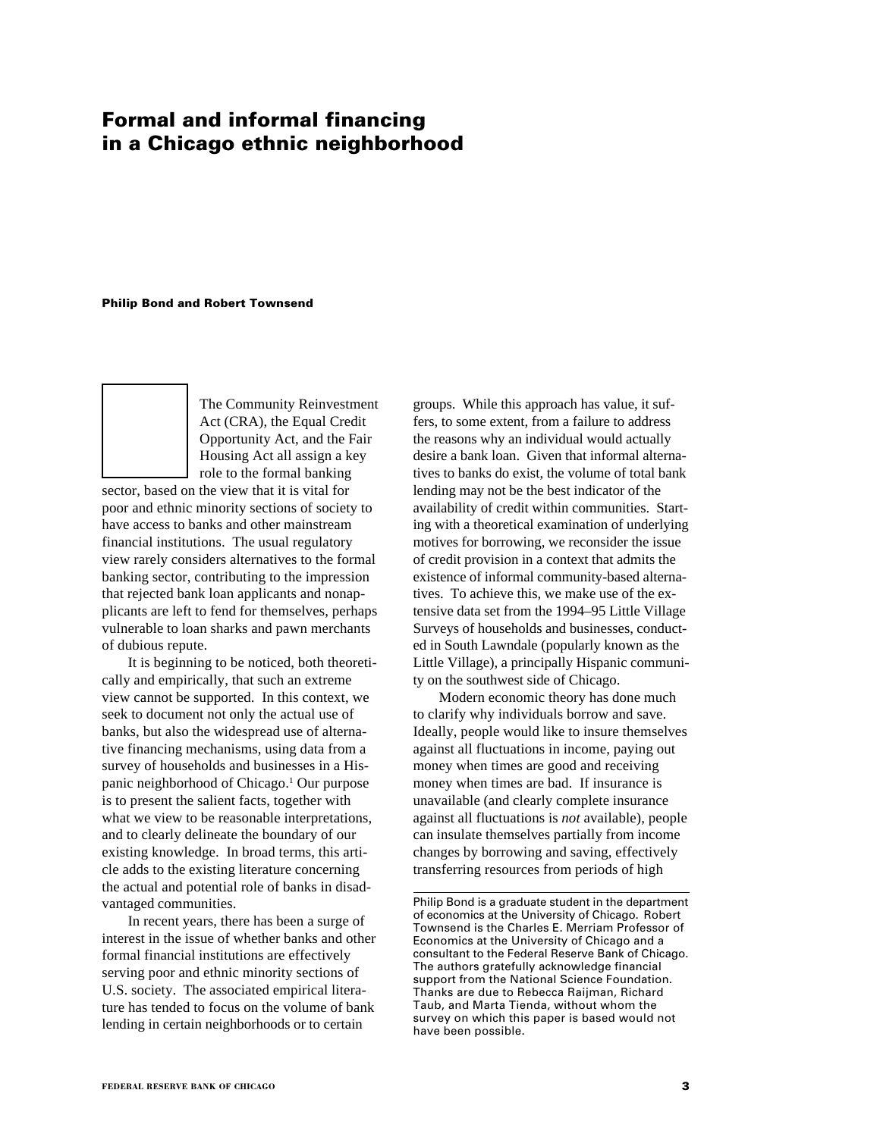# **Formal and informal financing in a Chicago ethnic neighborhood**

**Philip Bond and Robert Townsend**



The Community Reinvestment Act (CRA), the Equal Credit Opportunity Act, and the Fair Housing Act all assign a key role to the formal banking

sector, based on the view that it is vital for poor and ethnic minority sections of society to have access to banks and other mainstream financial institutions. The usual regulatory view rarely considers alternatives to the formal banking sector, contributing to the impression that rejected bank loan applicants and nonapplicants are left to fend for themselves, perhaps vulnerable to loan sharks and pawn merchants of dubious repute.

It is beginning to be noticed, both theoretically and empirically, that such an extreme view cannot be supported. In this context, we seek to document not only the actual use of banks, but also the widespread use of alternative financing mechanisms, using data from a survey of households and businesses in a Hispanic neighborhood of Chicago.<sup>1</sup> Our purpose is to present the salient facts, together with what we view to be reasonable interpretations, and to clearly delineate the boundary of our existing knowledge. In broad terms, this article adds to the existing literature concerning the actual and potential role of banks in disadvantaged communities.

In recent years, there has been a surge of interest in the issue of whether banks and other formal financial institutions are effectively serving poor and ethnic minority sections of U.S. society. The associated empirical literature has tended to focus on the volume of bank lending in certain neighborhoods or to certain

groups. While this approach has value, it suffers, to some extent, from a failure to address the reasons why an individual would actually desire a bank loan. Given that informal alternatives to banks do exist, the volume of total bank lending may not be the best indicator of the availability of credit within communities. Starting with a theoretical examination of underlying motives for borrowing, we reconsider the issue of credit provision in a context that admits the existence of informal community-based alternatives. To achieve this, we make use of the extensive data set from the 1994–95 Little Village Surveys of households and businesses, conducted in South Lawndale (popularly known as the Little Village), a principally Hispanic community on the southwest side of Chicago.

Modern economic theory has done much to clarify why individuals borrow and save. Ideally, people would like to insure themselves against all fluctuations in income, paying out money when times are good and receiving money when times are bad. If insurance is unavailable (and clearly complete insurance against all fluctuations is *not* available), people can insulate themselves partially from income changes by borrowing and saving, effectively transferring resources from periods of high

Philip Bond is a graduate student in the department of economics at the University of Chicago. Robert Townsend is the Charles E. Merriam Professor of Economics at the University of Chicago and a consultant to the Federal Reserve Bank of Chicago. The authors gratefully acknowledge financial support from the National Science Foundation. Thanks are due to Rebecca Raijman, Richard Taub, and Marta Tienda, without whom the survey on which this paper is based would not have been possible.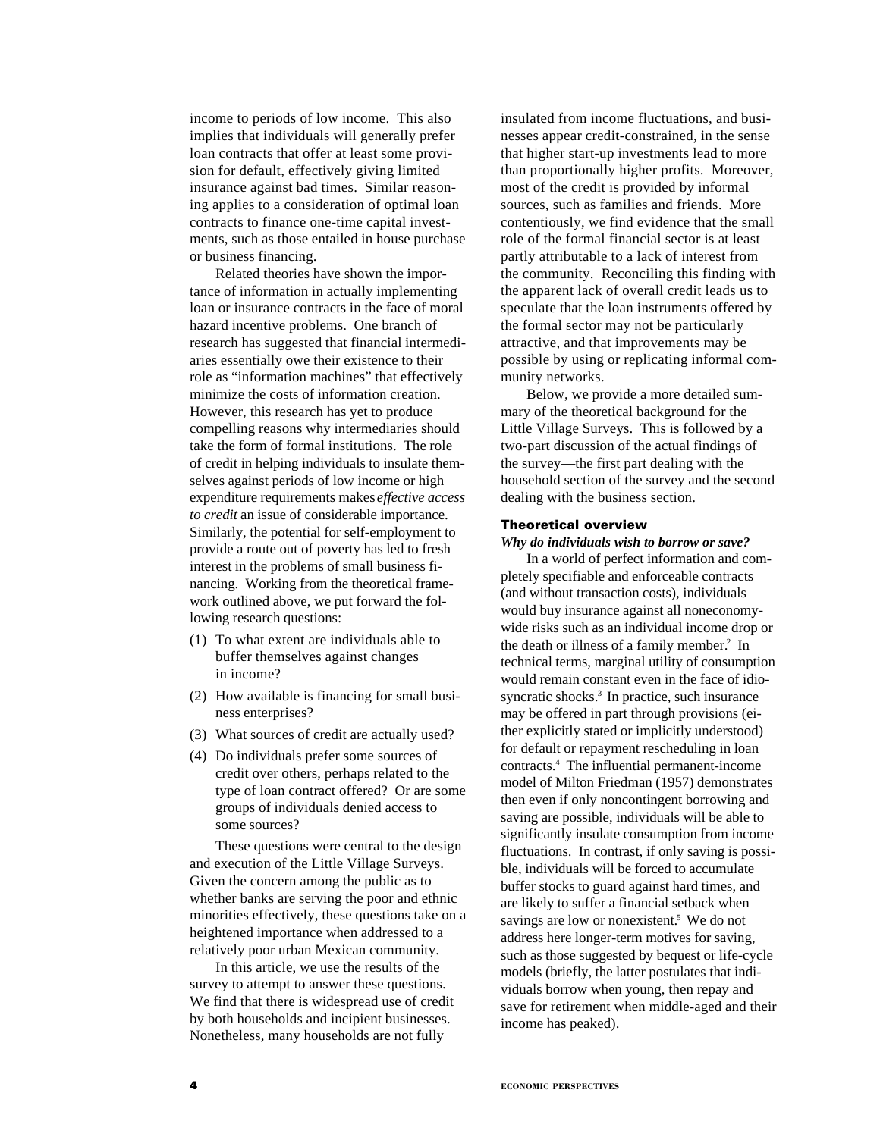income to periods of low income. This also implies that individuals will generally prefer loan contracts that offer at least some provision for default, effectively giving limited insurance against bad times. Similar reasoning applies to a consideration of optimal loan contracts to finance one-time capital investments, such as those entailed in house purchase or business financing.

Related theories have shown the importance of information in actually implementing loan or insurance contracts in the face of moral hazard incentive problems. One branch of research has suggested that financial intermediaries essentially owe their existence to their role as "information machines" that effectively minimize the costs of information creation. However, this research has yet to produce compelling reasons why intermediaries should take the form of formal institutions. The role of credit in helping individuals to insulate themselves against periods of low income or high expenditure requirements makes *effective access to credit* an issue of considerable importance. Similarly, the potential for self-employment to provide a route out of poverty has led to fresh interest in the problems of small business financing. Working from the theoretical framework outlined above, we put forward the following research questions:

- (1) To what extent are individuals able to buffer themselves against changes in income?
- (2) How available is financing for small business enterprises?
- (3) What sources of credit are actually used?
- (4) Do individuals prefer some sources of credit over others, perhaps related to the type of loan contract offered? Or are some groups of individuals denied access to some sources?

These questions were central to the design and execution of the Little Village Surveys. Given the concern among the public as to whether banks are serving the poor and ethnic minorities effectively, these questions take on a heightened importance when addressed to a relatively poor urban Mexican community.

In this article, we use the results of the survey to attempt to answer these questions. We find that there is widespread use of credit by both households and incipient businesses. Nonetheless, many households are not fully

insulated from income fluctuations, and businesses appear credit-constrained, in the sense that higher start-up investments lead to more than proportionally higher profits. Moreover, most of the credit is provided by informal sources, such as families and friends. More contentiously, we find evidence that the small role of the formal financial sector is at least partly attributable to a lack of interest from the community. Reconciling this finding with the apparent lack of overall credit leads us to speculate that the loan instruments offered by the formal sector may not be particularly attractive, and that improvements may be possible by using or replicating informal community networks.

Below, we provide a more detailed summary of the theoretical background for the Little Village Surveys. This is followed by a two-part discussion of the actual findings of the survey—the first part dealing with the household section of the survey and the second dealing with the business section.

## **Theoretical overview**

*Why do individuals wish to borrow or save?*

In a world of perfect information and completely specifiable and enforceable contracts (and without transaction costs), individuals would buy insurance against all noneconomywide risks such as an individual income drop or the death or illness of a family member.<sup>2</sup> In technical terms, marginal utility of consumption would remain constant even in the face of idiosyncratic shocks.<sup>3</sup> In practice, such insurance may be offered in part through provisions (either explicitly stated or implicitly understood) for default or repayment rescheduling in loan contracts.4 The influential permanent-income model of Milton Friedman (1957) demonstrates then even if only noncontingent borrowing and saving are possible, individuals will be able to significantly insulate consumption from income fluctuations. In contrast, if only saving is possible, individuals will be forced to accumulate buffer stocks to guard against hard times, and are likely to suffer a financial setback when savings are low or nonexistent.<sup>5</sup> We do not address here longer-term motives for saving, such as those suggested by bequest or life-cycle models (briefly, the latter postulates that individuals borrow when young, then repay and save for retirement when middle-aged and their income has peaked).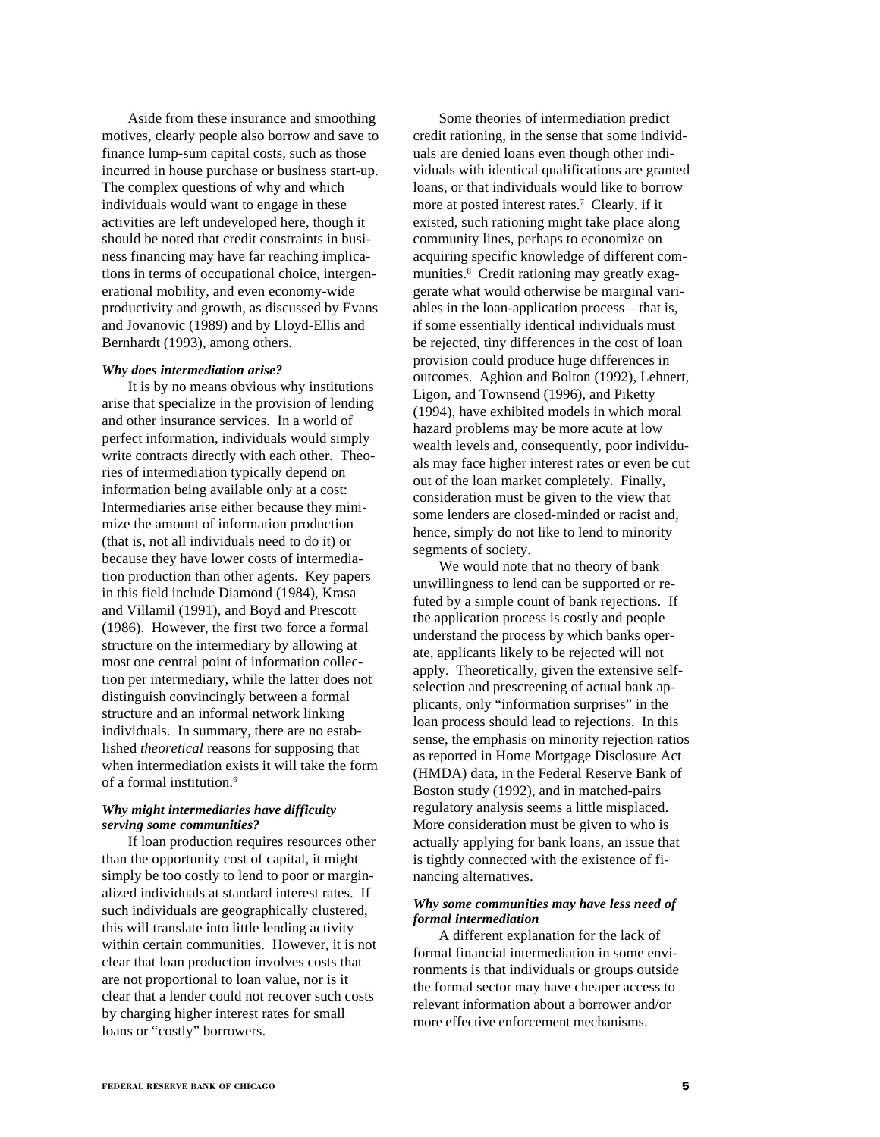Aside from these insurance and smoothing motives, clearly people also borrow and save to finance lump-sum capital costs, such as those incurred in house purchase or business start-up. The complex questions of why and which individuals would want to engage in these activities are left undeveloped here, though it should be noted that credit constraints in business financing may have far reaching implications in terms of occupational choice, intergenerational mobility, and even economy-wide productivity and growth, as discussed by Evans and Jovanovic (1989) and by Lloyd-Ellis and Bernhardt (1993), among others.

#### *Why does intermediation arise?*

It is by no means obvious why institutions arise that specialize in the provision of lending and other insurance services. In a world of perfect information, individuals would simply write contracts directly with each other. Theories of intermediation typically depend on information being available only at a cost: Intermediaries arise either because they minimize the amount of information production (that is, not all individuals need to do it) or because they have lower costs of intermediation production than other agents. Key papers in this field include Diamond (1984), Krasa and Villamil (1991), and Boyd and Prescott (1986). However, the first two force a formal structure on the intermediary by allowing at most one central point of information collection per intermediary, while the latter does not distinguish convincingly between a formal structure and an informal network linking individuals. In summary, there are no established *theoretical* reasons for supposing that when intermediation exists it will take the form of a formal institution.6

## *Why might intermediaries have difficulty serving some communities?*

If loan production requires resources other than the opportunity cost of capital, it might simply be too costly to lend to poor or marginalized individuals at standard interest rates. If such individuals are geographically clustered, this will translate into little lending activity within certain communities. However, it is not clear that loan production involves costs that are not proportional to loan value, nor is it clear that a lender could not recover such costs by charging higher interest rates for small loans or "costly" borrowers.

Some theories of intermediation predict credit rationing, in the sense that some individuals are denied loans even though other individuals with identical qualifications are granted loans, or that individuals would like to borrow more at posted interest rates.<sup>7</sup> Clearly, if it existed, such rationing might take place along community lines, perhaps to economize on acquiring specific knowledge of different communities.8 Credit rationing may greatly exaggerate what would otherwise be marginal variables in the loan-application process—that is, if some essentially identical individuals must be rejected, tiny differences in the cost of loan provision could produce huge differences in outcomes. Aghion and Bolton (1992), Lehnert, Ligon, and Townsend (1996), and Piketty (1994), have exhibited models in which moral hazard problems may be more acute at low wealth levels and, consequently, poor individuals may face higher interest rates or even be cut out of the loan market completely. Finally, consideration must be given to the view that some lenders are closed-minded or racist and, hence, simply do not like to lend to minority segments of society.

We would note that no theory of bank unwillingness to lend can be supported or refuted by a simple count of bank rejections. If the application process is costly and people understand the process by which banks operate, applicants likely to be rejected will not apply. Theoretically, given the extensive selfselection and prescreening of actual bank applicants, only "information surprises" in the loan process should lead to rejections. In this sense, the emphasis on minority rejection ratios as reported in Home Mortgage Disclosure Act (HMDA) data, in the Federal Reserve Bank of Boston study (1992), and in matched-pairs regulatory analysis seems a little misplaced. More consideration must be given to who is actually applying for bank loans, an issue that is tightly connected with the existence of financing alternatives.

## *Why some communities may have less need of formal intermediation*

A different explanation for the lack of formal financial intermediation in some environments is that individuals or groups outside the formal sector may have cheaper access to relevant information about a borrower and/or more effective enforcement mechanisms.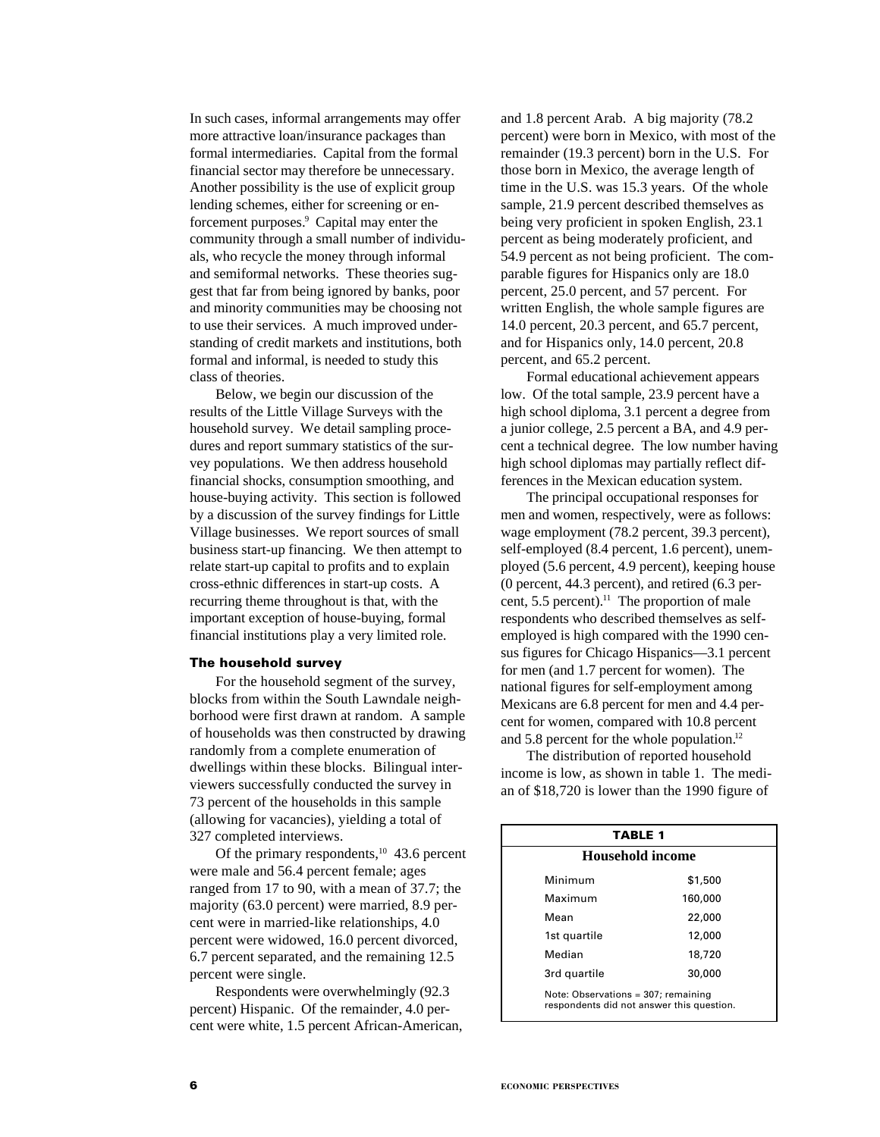In such cases, informal arrangements may offer more attractive loan/insurance packages than formal intermediaries. Capital from the formal financial sector may therefore be unnecessary. Another possibility is the use of explicit group lending schemes, either for screening or enforcement purposes.<sup>9</sup> Capital may enter the community through a small number of individuals, who recycle the money through informal and semiformal networks. These theories suggest that far from being ignored by banks, poor and minority communities may be choosing not to use their services. A much improved understanding of credit markets and institutions, both formal and informal, is needed to study this class of theories.

Below, we begin our discussion of the results of the Little Village Surveys with the household survey. We detail sampling procedures and report summary statistics of the survey populations. We then address household financial shocks, consumption smoothing, and house-buying activity. This section is followed by a discussion of the survey findings for Little Village businesses. We report sources of small business start-up financing. We then attempt to relate start-up capital to profits and to explain cross-ethnic differences in start-up costs. A recurring theme throughout is that, with the important exception of house-buying, formal financial institutions play a very limited role.

#### **The household survey**

For the household segment of the survey, blocks from within the South Lawndale neighborhood were first drawn at random. A sample of households was then constructed by drawing randomly from a complete enumeration of dwellings within these blocks. Bilingual interviewers successfully conducted the survey in 73 percent of the households in this sample (allowing for vacancies), yielding a total of 327 completed interviews.

Of the primary respondents, $10\,$  43.6 percent were male and 56.4 percent female; ages ranged from 17 to 90, with a mean of 37.7; the majority (63.0 percent) were married, 8.9 percent were in married-like relationships, 4.0 percent were widowed, 16.0 percent divorced, 6.7 percent separated, and the remaining 12.5 percent were single.

Respondents were overwhelmingly (92.3 percent) Hispanic. Of the remainder, 4.0 percent were white, 1.5 percent African-American,

and 1.8 percent Arab. A big majority (78.2 percent) were born in Mexico, with most of the remainder (19.3 percent) born in the U.S. For those born in Mexico, the average length of time in the U.S. was 15.3 years. Of the whole sample, 21.9 percent described themselves as being very proficient in spoken English, 23.1 percent as being moderately proficient, and 54.9 percent as not being proficient. The comparable figures for Hispanics only are 18.0 percent, 25.0 percent, and 57 percent. For written English, the whole sample figures are 14.0 percent, 20.3 percent, and 65.7 percent, and for Hispanics only, 14.0 percent, 20.8 percent, and 65.2 percent.

Formal educational achievement appears low. Of the total sample, 23.9 percent have a high school diploma, 3.1 percent a degree from a junior college, 2.5 percent a BA, and 4.9 percent a technical degree. The low number having high school diplomas may partially reflect differences in the Mexican education system.

The principal occupational responses for men and women, respectively, were as follows: wage employment (78.2 percent, 39.3 percent), self-employed (8.4 percent, 1.6 percent), unemployed (5.6 percent, 4.9 percent), keeping house (0 percent, 44.3 percent), and retired (6.3 percent, 5.5 percent).<sup>11</sup> The proportion of male respondents who described themselves as selfemployed is high compared with the 1990 census figures for Chicago Hispanics—3.1 percent for men (and 1.7 percent for women). The national figures for self-employment among Mexicans are 6.8 percent for men and 4.4 percent for women, compared with 10.8 percent and 5.8 percent for the whole population.<sup>12</sup>

The distribution of reported household income is low, as shown in table 1. The median of \$18,720 is lower than the 1990 figure of

| <b>TABLE 1</b>          |                                                                                  |  |  |  |  |  |
|-------------------------|----------------------------------------------------------------------------------|--|--|--|--|--|
| <b>Household income</b> |                                                                                  |  |  |  |  |  |
| Minimum                 | \$1,500                                                                          |  |  |  |  |  |
| Maximum                 | 160,000                                                                          |  |  |  |  |  |
| Mean                    | 22,000                                                                           |  |  |  |  |  |
| 1st quartile            | 12,000                                                                           |  |  |  |  |  |
| Median                  | 18,720                                                                           |  |  |  |  |  |
| 3rd quartile            | 30,000                                                                           |  |  |  |  |  |
|                         | Note: Observations = 307; remaining<br>respondents did not answer this question. |  |  |  |  |  |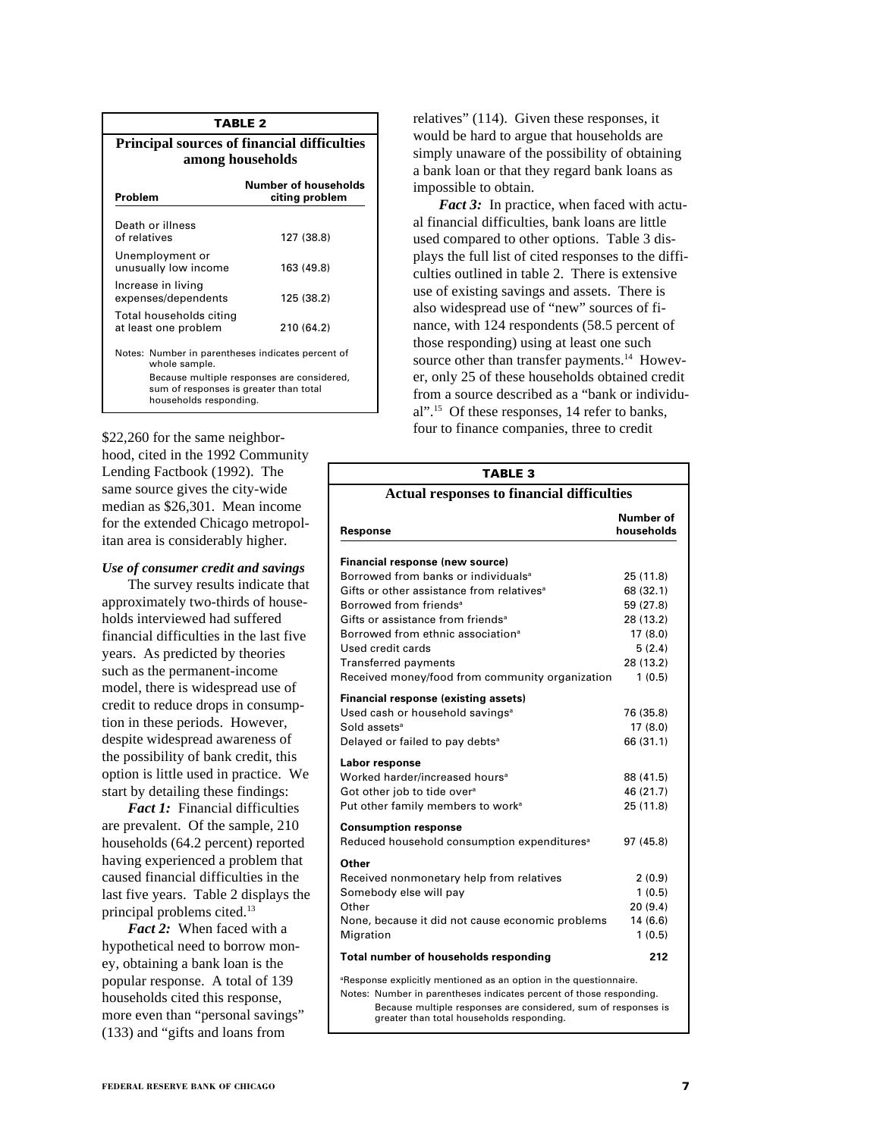| <b>TABLE 2</b>                                                                                                                                                                       |                                                                        |  |  |  |  |
|--------------------------------------------------------------------------------------------------------------------------------------------------------------------------------------|------------------------------------------------------------------------|--|--|--|--|
|                                                                                                                                                                                      | <b>Principal sources of financial difficulties</b><br>among households |  |  |  |  |
| Problem                                                                                                                                                                              | Number of households<br>citing problem                                 |  |  |  |  |
| Death or illness<br>of relatives                                                                                                                                                     | 127 (38.8)                                                             |  |  |  |  |
| Unemployment or<br>unusually low income                                                                                                                                              | 163 (49.8)                                                             |  |  |  |  |
| Increase in living<br>expenses/dependents                                                                                                                                            | 125 (38.2)                                                             |  |  |  |  |
| Total households citing<br>at least one problem                                                                                                                                      | 210 (64.2)                                                             |  |  |  |  |
| Notes: Number in parentheses indicates percent of<br>whole sample.<br>Because multiple responses are considered,<br>sum of responses is greater than total<br>households responding. |                                                                        |  |  |  |  |

\$22,260 for the same neighborhood, cited in the 1992 Community Lending Factbook (1992). The same source gives the city-wide median as \$26,301. Mean income for the extended Chicago metropolitan area is considerably higher.

# *Use of consumer credit and savings*

The survey results indicate that approximately two-thirds of households interviewed had suffered financial difficulties in the last five years. As predicted by theories such as the permanent-income model, there is widespread use of credit to reduce drops in consumption in these periods. However, despite widespread awareness of the possibility of bank credit, this option is little used in practice. We start by detailing these findings:

*Fact 1:* Financial difficulties are prevalent. Of the sample, 210 households (64.2 percent) reported having experienced a problem that caused financial difficulties in the last five years. Table 2 displays the principal problems cited.13

*Fact 2:* When faced with a hypothetical need to borrow money, obtaining a bank loan is the popular response. A total of 139 households cited this response, more even than "personal savings" (133) and "gifts and loans from

relatives" (114). Given these responses, it would be hard to argue that households are simply unaware of the possibility of obtaining a bank loan or that they regard bank loans as impossible to obtain.

*Fact 3:* In practice, when faced with actual financial difficulties, bank loans are little used compared to other options. Table 3 displays the full list of cited responses to the difficulties outlined in table 2. There is extensive use of existing savings and assets. There is also widespread use of "new" sources of finance, with 124 respondents (58.5 percent of those responding) using at least one such source other than transfer payments.<sup>14</sup> However, only 25 of these households obtained credit from a source described as a "bank or individual".15 Of these responses, 14 refer to banks, four to finance companies, three to credit

| <b>TABLE 3</b>                                                                                              |                         |
|-------------------------------------------------------------------------------------------------------------|-------------------------|
| <b>Actual responses to financial difficulties</b>                                                           |                         |
| Response                                                                                                    | Number of<br>households |
| Financial response (new source)                                                                             |                         |
| Borrowed from banks or individuals <sup>a</sup>                                                             | 25 (11.8)               |
| Gifts or other assistance from relatives <sup>a</sup>                                                       | 68 (32.1)               |
| Borrowed from friends <sup>a</sup>                                                                          | 59 (27.8)               |
| Gifts or assistance from friends <sup>a</sup>                                                               | 28 (13.2)               |
| Borrowed from ethnic association <sup>a</sup><br>Used credit cards                                          | 17(8.0)                 |
|                                                                                                             | 5(2.4)                  |
| <b>Transferred payments</b><br>Received money/food from community organization                              | 28 (13.2)<br>1(0.5)     |
|                                                                                                             |                         |
| <b>Financial response (existing assets)</b>                                                                 |                         |
| Used cash or household savings <sup>a</sup>                                                                 | 76 (35.8)               |
| Sold assets <sup>a</sup>                                                                                    | 17 (8.0)                |
| Delayed or failed to pay debts <sup>a</sup>                                                                 | 66 (31.1)               |
| Labor response                                                                                              |                         |
| Worked harder/increased hours <sup>a</sup>                                                                  | 88 (41.5)               |
| Got other job to tide over <sup>a</sup>                                                                     | 46 (21.7)               |
| Put other family members to work <sup>a</sup>                                                               | 25 (11.8)               |
| <b>Consumption response</b>                                                                                 |                         |
| Reduced household consumption expenditures <sup>a</sup>                                                     | 97 (45.8)               |
| Other                                                                                                       |                         |
| Received nonmonetary help from relatives                                                                    | 2(0.9)                  |
| Somebody else will pay                                                                                      | 1(0.5)                  |
| Other                                                                                                       | 20(9.4)                 |
| None, because it did not cause economic problems                                                            | 14(6.6)                 |
| Migration                                                                                                   | 1(0.5)                  |
| Total number of households responding                                                                       | 212                     |
| <sup>a</sup> Response explicitly mentioned as an option in the questionnaire.                               |                         |
| Notes: Number in parentheses indicates percent of those responding.                                         |                         |
| Because multiple responses are considered, sum of responses is<br>greater than total households responding. |                         |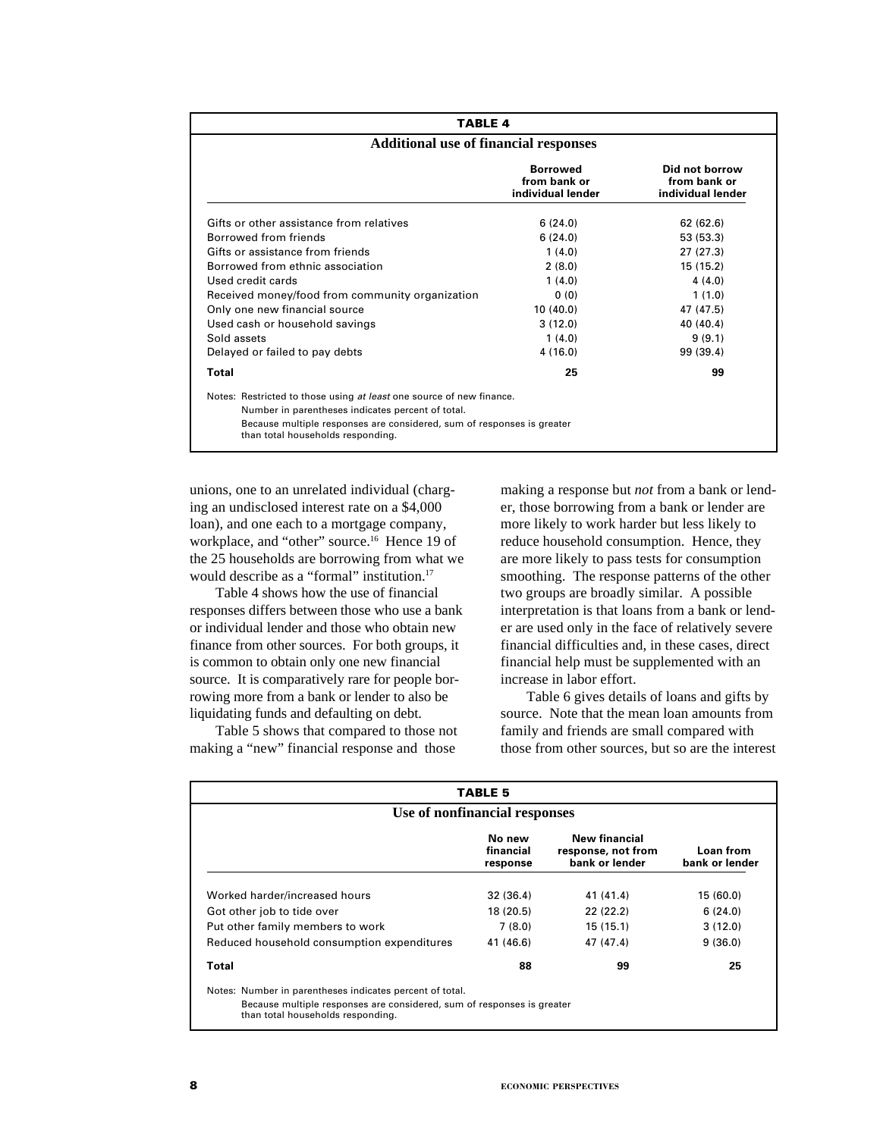| <b>TABLE 4</b>                                                                                                                                                                                                                           |                                                      |                                                     |  |  |  |  |  |
|------------------------------------------------------------------------------------------------------------------------------------------------------------------------------------------------------------------------------------------|------------------------------------------------------|-----------------------------------------------------|--|--|--|--|--|
|                                                                                                                                                                                                                                          | <b>Additional use of financial responses</b>         |                                                     |  |  |  |  |  |
|                                                                                                                                                                                                                                          | <b>Borrowed</b><br>from bank or<br>individual lender | Did not borrow<br>from bank or<br>individual lender |  |  |  |  |  |
| Gifts or other assistance from relatives                                                                                                                                                                                                 | 6(24.0)                                              | 62(62.6)                                            |  |  |  |  |  |
| Borrowed from friends                                                                                                                                                                                                                    | 6(24.0)                                              | 53 (53.3)                                           |  |  |  |  |  |
| Gifts or assistance from friends                                                                                                                                                                                                         | 1(4.0)                                               | 27(27.3)                                            |  |  |  |  |  |
| Borrowed from ethnic association                                                                                                                                                                                                         | 2(8.0)                                               | 15(15.2)                                            |  |  |  |  |  |
| Used credit cards                                                                                                                                                                                                                        | 1(4.0)                                               | 4(4.0)                                              |  |  |  |  |  |
| Received money/food from community organization                                                                                                                                                                                          | 0(0)                                                 | 1(1.0)                                              |  |  |  |  |  |
| Only one new financial source                                                                                                                                                                                                            | 10(40.0)                                             | 47 (47.5)                                           |  |  |  |  |  |
| Used cash or household savings                                                                                                                                                                                                           | 3(12.0)                                              | 40 (40.4)                                           |  |  |  |  |  |
| Sold assets                                                                                                                                                                                                                              | 1(4.0)                                               | 9(9.1)                                              |  |  |  |  |  |
| Delayed or failed to pay debts                                                                                                                                                                                                           | 4(16.0)                                              | 99 (39.4)                                           |  |  |  |  |  |
| <b>Total</b>                                                                                                                                                                                                                             | 25                                                   | 99                                                  |  |  |  |  |  |
| Notes: Restricted to those using at least one source of new finance.<br>Number in parentheses indicates percent of total.<br>Because multiple responses are considered, sum of responses is greater<br>than total households responding. |                                                      |                                                     |  |  |  |  |  |

unions, one to an unrelated individual (charging an undisclosed interest rate on a \$4,000 loan), and one each to a mortgage company, workplace, and "other" source.<sup>16</sup> Hence 19 of the 25 households are borrowing from what we would describe as a "formal" institution.<sup>17</sup>

Table 4 shows how the use of financial responses differs between those who use a bank or individual lender and those who obtain new finance from other sources. For both groups, it is common to obtain only one new financial source. It is comparatively rare for people borrowing more from a bank or lender to also be liquidating funds and defaulting on debt.

Table 5 shows that compared to those not making a "new" financial response and those

making a response but *not* from a bank or lender, those borrowing from a bank or lender are more likely to work harder but less likely to reduce household consumption. Hence, they are more likely to pass tests for consumption smoothing. The response patterns of the other two groups are broadly similar. A possible interpretation is that loans from a bank or lender are used only in the face of relatively severe financial difficulties and, in these cases, direct financial help must be supplemented with an increase in labor effort.

Table 6 gives details of loans and gifts by source. Note that the mean loan amounts from family and friends are small compared with those from other sources, but so are the interest

| <b>TABLE 5</b>                                                                                              |                                 |                                                              |                             |  |  |  |  |
|-------------------------------------------------------------------------------------------------------------|---------------------------------|--------------------------------------------------------------|-----------------------------|--|--|--|--|
| Use of nonfinancial responses                                                                               |                                 |                                                              |                             |  |  |  |  |
|                                                                                                             | No new<br>financial<br>response | <b>New financial</b><br>response, not from<br>bank or lender | Loan from<br>bank or lender |  |  |  |  |
| Worked harder/increased hours                                                                               | 32 (36.4)                       | 41 (41.4)                                                    | 15 (60.0)                   |  |  |  |  |
| Got other job to tide over                                                                                  | 18(20.5)                        | 22(22.2)                                                     | 6(24.0)                     |  |  |  |  |
| Put other family members to work                                                                            | 7(8.0)                          | 15(15.1)                                                     | 3(12.0)                     |  |  |  |  |
| Reduced household consumption expenditures                                                                  | 41 (46.6)                       | 47 (47.4)                                                    | 9(36.0)                     |  |  |  |  |
| Total                                                                                                       | 88                              | 99                                                           | 25                          |  |  |  |  |
| Notes: Number in parentheses indicates percent of total.                                                    |                                 |                                                              |                             |  |  |  |  |
| Because multiple responses are considered, sum of responses is greater<br>than total households responding. |                                 |                                                              |                             |  |  |  |  |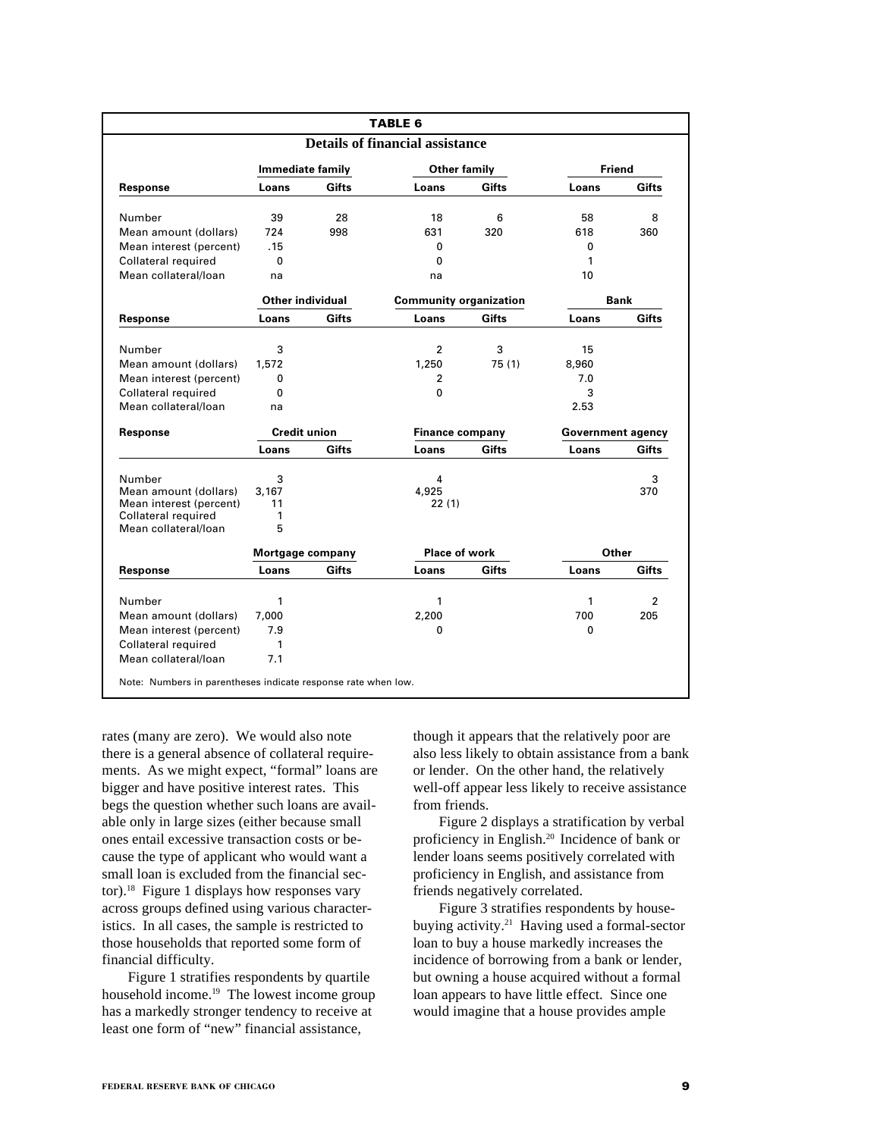|                                             |                         |              | <b>TABLE 6</b>                         |        |                          |                |
|---------------------------------------------|-------------------------|--------------|----------------------------------------|--------|--------------------------|----------------|
|                                             |                         |              | <b>Details of financial assistance</b> |        |                          |                |
|                                             | <b>Immediate family</b> |              | <b>Other family</b>                    |        | <b>Friend</b>            |                |
| Response                                    | Loans                   | <b>Gifts</b> | Loans                                  | Gifts  | Loans                    | Gifts          |
| Number                                      | 39                      | 28           | 18                                     | 6      | 58                       | 8              |
| Mean amount (dollars)                       | 724                     | 998          | 631                                    | 320    | 618                      | 360            |
| Mean interest (percent)                     | .15                     |              | 0                                      |        | 0                        |                |
| Collateral required                         | 0                       |              | 0                                      |        | 1                        |                |
| Mean collateral/loan                        | na                      |              | na                                     |        | 10                       |                |
|                                             | Other individual        |              | <b>Community organization</b>          |        |                          | Bank           |
| Response                                    | Loans                   | Gifts        | Loans                                  | Gifts  | Loans                    | Gifts          |
| Number                                      | 3                       |              | $\overline{2}$                         | 3      | 15                       |                |
| Mean amount (dollars)                       | 1,572                   |              | 1,250                                  | 75 (1) | 8,960                    |                |
| Mean interest (percent)                     | 0                       |              | $\overline{2}$                         |        | 7.0                      |                |
| Collateral required                         | $\mathbf{0}$            |              | 0                                      |        | 3                        |                |
| Mean collateral/loan                        | na                      |              |                                        |        | 2.53                     |                |
|                                             |                         |              |                                        |        |                          |                |
| <b>Response</b>                             | <b>Credit union</b>     |              | <b>Finance company</b>                 |        | <b>Government agency</b> |                |
|                                             | Loans                   | <b>Gifts</b> | Loans                                  | Gifts  | Loans                    | Gifts          |
| Number                                      | 3                       |              | 4                                      |        |                          | 3              |
| Mean amount (dollars)                       | 3.167                   |              | 4,925                                  |        |                          | 370            |
| Mean interest (percent)                     | 11                      |              | 22(1)                                  |        |                          |                |
| Collateral required<br>Mean collateral/loan | 1<br>5                  |              |                                        |        |                          |                |
|                                             | Mortgage company        |              | Place of work                          |        | Other                    |                |
| Response                                    | Loans                   | Gifts        | Loans                                  | Gifts  | Loans                    | Gifts          |
| Number                                      | 1                       |              | 1                                      |        | 1                        | $\overline{2}$ |
| Mean amount (dollars)                       | 7.000                   |              | 2,200                                  |        | 700                      | 205            |
| Mean interest (percent)                     | 7.9                     |              | 0                                      |        | 0                        |                |
| Collateral required                         | 1                       |              |                                        |        |                          |                |
|                                             |                         |              |                                        |        |                          |                |

rates (many are zero). We would also note there is a general absence of collateral requirements. As we might expect, "formal" loans are bigger and have positive interest rates. This begs the question whether such loans are available only in large sizes (either because small ones entail excessive transaction costs or because the type of applicant who would want a small loan is excluded from the financial sector).<sup>18</sup> Figure 1 displays how responses vary across groups defined using various characteristics. In all cases, the sample is restricted to those households that reported some form of financial difficulty.

Figure 1 stratifies respondents by quartile household income.<sup>19</sup> The lowest income group has a markedly stronger tendency to receive at least one form of "new" financial assistance,

though it appears that the relatively poor are also less likely to obtain assistance from a bank or lender. On the other hand, the relatively well-off appear less likely to receive assistance from friends.

Figure 2 displays a stratification by verbal proficiency in English.20 Incidence of bank or lender loans seems positively correlated with proficiency in English, and assistance from friends negatively correlated.

Figure 3 stratifies respondents by housebuying activity.21 Having used a formal-sector loan to buy a house markedly increases the incidence of borrowing from a bank or lender, but owning a house acquired without a formal loan appears to have little effect. Since one would imagine that a house provides ample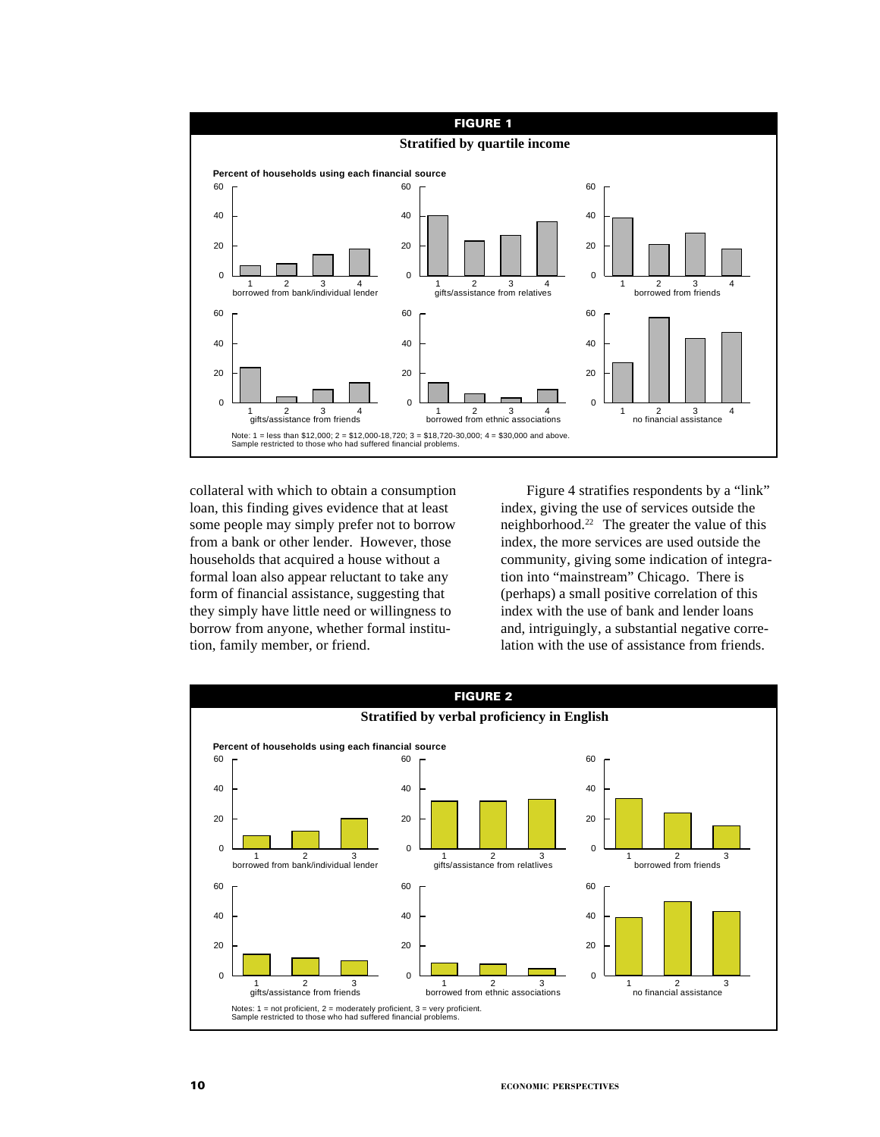

collateral with which to obtain a consumption loan, this finding gives evidence that at least some people may simply prefer not to borrow from a bank or other lender. However, those households that acquired a house without a formal loan also appear reluctant to take any form of financial assistance, suggesting that they simply have little need or willingness to borrow from anyone, whether formal institution, family member, or friend.

Figure 4 stratifies respondents by a "link" index, giving the use of services outside the neighborhood.22 The greater the value of this index, the more services are used outside the community, giving some indication of integration into "mainstream" Chicago. There is (perhaps) a small positive correlation of this index with the use of bank and lender loans and, intriguingly, a substantial negative correlation with the use of assistance from friends.

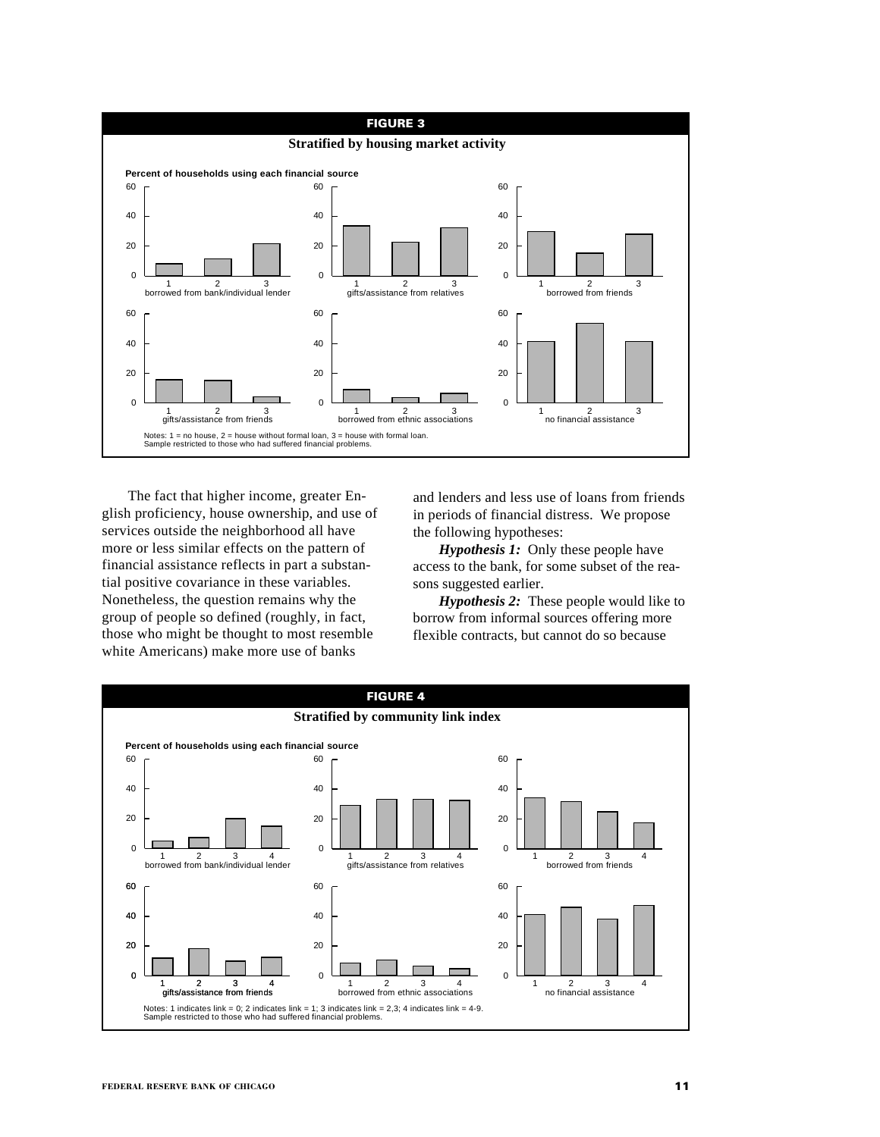

The fact that higher income, greater English proficiency, house ownership, and use of services outside the neighborhood all have more or less similar effects on the pattern of financial assistance reflects in part a substantial positive covariance in these variables. Nonetheless, the question remains why the group of people so defined (roughly, in fact, those who might be thought to most resemble white Americans) make more use of banks

and lenders and less use of loans from friends in periods of financial distress. We propose the following hypotheses:

*Hypothesis 1:* Only these people have access to the bank, for some subset of the reasons suggested earlier.

*Hypothesis 2:* These people would like to borrow from informal sources offering more flexible contracts, but cannot do so because

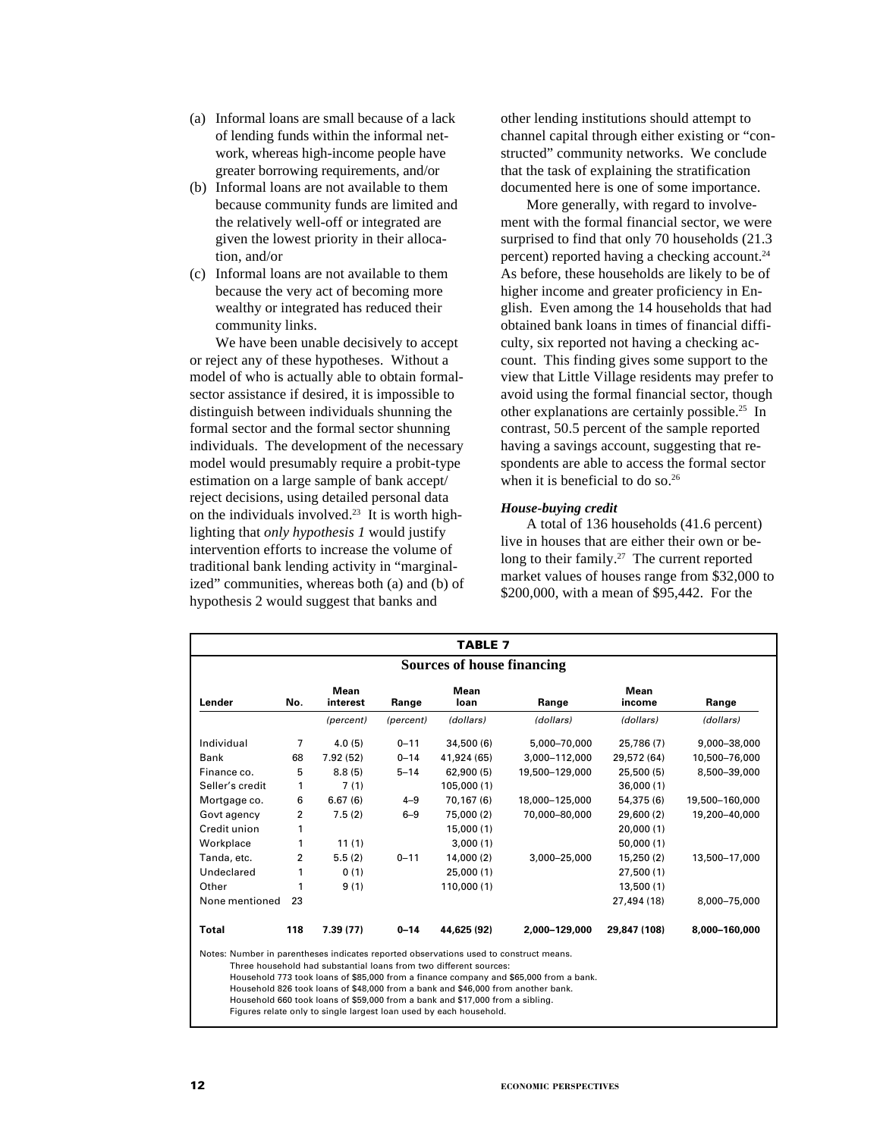- (a) Informal loans are small because of a lack of lending funds within the informal network, whereas high-income people have greater borrowing requirements, and/or
- (b) Informal loans are not available to them because community funds are limited and the relatively well-off or integrated are given the lowest priority in their allocation, and/or
- (c) Informal loans are not available to them because the very act of becoming more wealthy or integrated has reduced their community links.

We have been unable decisively to accept or reject any of these hypotheses. Without a model of who is actually able to obtain formalsector assistance if desired, it is impossible to distinguish between individuals shunning the formal sector and the formal sector shunning individuals. The development of the necessary model would presumably require a probit-type estimation on a large sample of bank accept/ reject decisions, using detailed personal data on the individuals involved.23 It is worth highlighting that *only hypothesis 1* would justify intervention efforts to increase the volume of traditional bank lending activity in "marginalized" communities, whereas both (a) and (b) of hypothesis 2 would suggest that banks and

other lending institutions should attempt to channel capital through either existing or "constructed" community networks. We conclude that the task of explaining the stratification documented here is one of some importance.

More generally, with regard to involvement with the formal financial sector, we were surprised to find that only 70 households (21.3 percent) reported having a checking account.24 As before, these households are likely to be of higher income and greater proficiency in English. Even among the 14 households that had obtained bank loans in times of financial difficulty, six reported not having a checking account. This finding gives some support to the view that Little Village residents may prefer to avoid using the formal financial sector, though other explanations are certainly possible.25 In contrast, 50.5 percent of the sample reported having a savings account, suggesting that respondents are able to access the formal sector when it is beneficial to do so.<sup>26</sup>

#### *House-buying credit*

A total of 136 households (41.6 percent) live in houses that are either their own or belong to their family.<sup>27</sup> The current reported market values of houses range from \$32,000 to \$200,000, with a mean of \$95,442. For the

|                                                                                                | <b>TABLE 7</b> |           |           |                                                                                                                                                       |                                                                                       |              |                |  |  |
|------------------------------------------------------------------------------------------------|----------------|-----------|-----------|-------------------------------------------------------------------------------------------------------------------------------------------------------|---------------------------------------------------------------------------------------|--------------|----------------|--|--|
| <b>Sources of house financing</b>                                                              |                |           |           |                                                                                                                                                       |                                                                                       |              |                |  |  |
| Mean<br>Mean<br>Mean<br>No.<br>Lender<br>Range<br>interest<br>Range<br>loan<br>Range<br>income |                |           |           |                                                                                                                                                       |                                                                                       |              |                |  |  |
|                                                                                                |                | (percent) | (percent) | (dollars)                                                                                                                                             | (dollars)                                                                             | (dollars)    | (dollars)      |  |  |
| Individual                                                                                     | 7              | 4.0(5)    | $0 - 11$  | 34,500 (6)                                                                                                                                            | 5.000-70.000                                                                          | 25.786 (7)   | 9,000-38,000   |  |  |
| <b>Bank</b>                                                                                    | 68             | 7.92(52)  | $0 - 14$  | 41.924 (65)                                                                                                                                           | 3.000-112.000                                                                         | 29,572 (64)  | 10.500-76.000  |  |  |
| Finance co.                                                                                    | 5              | 8.8(5)    | $5 - 14$  | 62,900 (5)                                                                                                                                            | 19,500-129,000                                                                        | 25,500 (5)   | 8,500-39,000   |  |  |
| Seller's credit                                                                                | 1              | 7(1)      |           | 105,000(1)                                                                                                                                            |                                                                                       | 36,000(1)    |                |  |  |
| Mortgage co.                                                                                   | 6              | 6.67(6)   | $4 - 9$   | 70.167 (6)                                                                                                                                            | 18.000-125.000                                                                        | 54,375 (6)   | 19,500-160,000 |  |  |
| Govt agency                                                                                    | $\overline{2}$ | 7.5(2)    | $6 - 9$   | 75,000 (2)                                                                                                                                            | 70,000-80,000                                                                         | 29,600 (2)   | 19,200-40,000  |  |  |
| Credit union                                                                                   | 1              |           |           | 15,000(1)                                                                                                                                             |                                                                                       | 20,000(1)    |                |  |  |
| Workplace                                                                                      | 1              | 11(1)     |           | 3,000(1)                                                                                                                                              |                                                                                       | 50.000(1)    |                |  |  |
| Tanda, etc.                                                                                    | 2              | 5.5(2)    | $0 - 11$  | 14.000(2)                                                                                                                                             | 3,000-25,000                                                                          | 15,250 (2)   | 13,500-17,000  |  |  |
| Undeclared                                                                                     | 1              | 0(1)      |           | 25,000 (1)                                                                                                                                            |                                                                                       | 27,500(1)    |                |  |  |
| Other                                                                                          | 1              | 9(1)      |           | 110,000(1)                                                                                                                                            |                                                                                       | 13,500(1)    |                |  |  |
| None mentioned                                                                                 | 23             |           |           |                                                                                                                                                       |                                                                                       | 27,494 (18)  | 8,000-75,000   |  |  |
| Total                                                                                          | 118            | 7.39 (77) | $0 - 14$  | 44,625 (92)                                                                                                                                           | 2,000-129,000                                                                         | 29,847 (108) | 8,000-160,000  |  |  |
| Notes: Number in parentheses indicates reported observations used to construct means.          |                |           |           | Three household had substantial loans from two different sources:<br>Household 826 took loans of \$48,000 from a bank and \$46,000 from another bank. | Household 773 took loans of \$85,000 from a finance company and \$65,000 from a bank. |              |                |  |  |

Household 660 took loans of \$59,000 from a bank and \$17,000 from a sibling.

Figures relate only to single largest loan used by each household.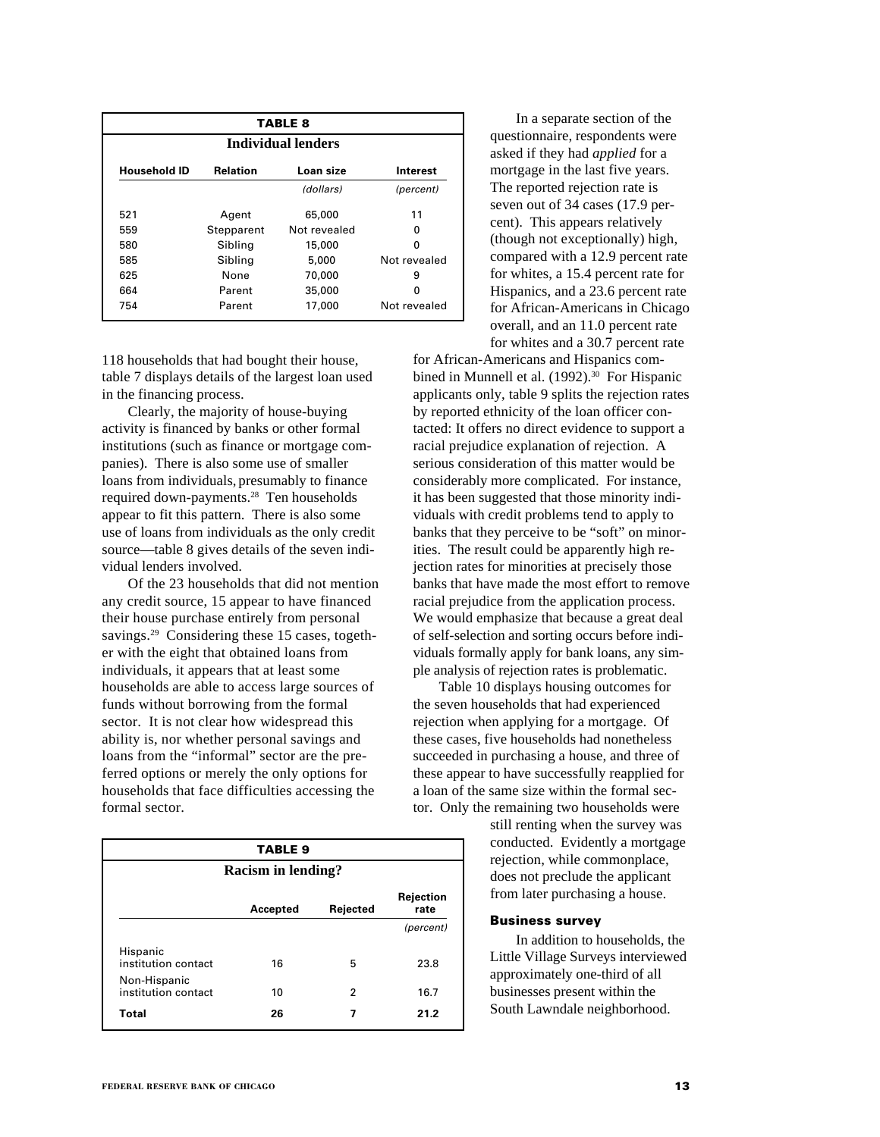|                     | <b>TABLE 8</b>                           |              |              |  |  |  |  |  |
|---------------------|------------------------------------------|--------------|--------------|--|--|--|--|--|
|                     | Individual lenders                       |              |              |  |  |  |  |  |
| <b>Household ID</b> | <b>Relation</b><br>Loan size<br>Interest |              |              |  |  |  |  |  |
|                     |                                          | (dollars)    | (percent)    |  |  |  |  |  |
| 521                 | Agent                                    | 65,000       | 11           |  |  |  |  |  |
| 559                 | Stepparent                               | Not revealed | ŋ            |  |  |  |  |  |
| 580                 | Sibling                                  | 15,000       | 0            |  |  |  |  |  |
| 585                 | Sibling                                  | 5,000        | Not revealed |  |  |  |  |  |
| 625                 | None                                     | 70,000       | 9            |  |  |  |  |  |
| 664                 | Parent                                   | 35,000       | ŋ            |  |  |  |  |  |
| 754                 | Parent                                   | 17,000       | Not revealed |  |  |  |  |  |

118 households that had bought their house, table 7 displays details of the largest loan used in the financing process.

Clearly, the majority of house-buying activity is financed by banks or other formal institutions (such as finance or mortgage companies). There is also some use of smaller loans from individuals, presumably to finance required down-payments.28 Ten households appear to fit this pattern. There is also some use of loans from individuals as the only credit source—table 8 gives details of the seven individual lenders involved.

Of the 23 households that did not mention any credit source, 15 appear to have financed their house purchase entirely from personal savings.<sup>29</sup> Considering these 15 cases, together with the eight that obtained loans from individuals, it appears that at least some households are able to access large sources of funds without borrowing from the formal sector. It is not clear how widespread this ability is, nor whether personal savings and loans from the "informal" sector are the preferred options or merely the only options for households that face difficulties accessing the formal sector.

| <b>TABLE 9</b>                      |          |          |                   |  |  |  |  |
|-------------------------------------|----------|----------|-------------------|--|--|--|--|
| <b>Racism in lending?</b>           |          |          |                   |  |  |  |  |
|                                     | Accepted | Rejected | Rejection<br>rate |  |  |  |  |
|                                     |          |          | (percent)         |  |  |  |  |
| Hispanic<br>institution contact     | 16       | 5        | 23.8              |  |  |  |  |
| Non-Hispanic<br>institution contact | 10       | 2        | 16.7              |  |  |  |  |
| Total                               | 26       | 7        | 21.2              |  |  |  |  |

In a separate section of the questionnaire, respondents were asked if they had *applied* for a mortgage in the last five years. The reported rejection rate is seven out of 34 cases (17.9 percent). This appears relatively (though not exceptionally) high, compared with a 12.9 percent rate for whites, a 15.4 percent rate for Hispanics, and a 23.6 percent rate for African-Americans in Chicago overall, and an 11.0 percent rate for whites and a 30.7 percent rate

for African-Americans and Hispanics combined in Munnell et al. (1992).<sup>30</sup> For Hispanic applicants only, table 9 splits the rejection rates by reported ethnicity of the loan officer contacted: It offers no direct evidence to support a racial prejudice explanation of rejection. A serious consideration of this matter would be considerably more complicated. For instance, it has been suggested that those minority individuals with credit problems tend to apply to banks that they perceive to be "soft" on minorities. The result could be apparently high rejection rates for minorities at precisely those banks that have made the most effort to remove racial prejudice from the application process. We would emphasize that because a great deal of self-selection and sorting occurs before individuals formally apply for bank loans, any simple analysis of rejection rates is problematic.

Table 10 displays housing outcomes for the seven households that had experienced rejection when applying for a mortgage. Of these cases, five households had nonetheless succeeded in purchasing a house, and three of these appear to have successfully reapplied for a loan of the same size within the formal sector. Only the remaining two households were

> still renting when the survey was conducted. Evidently a mortgage rejection, while commonplace, does not preclude the applicant from later purchasing a house.

## **Business survey**

In addition to households, the Little Village Surveys interviewed approximately one-third of all businesses present within the South Lawndale neighborhood.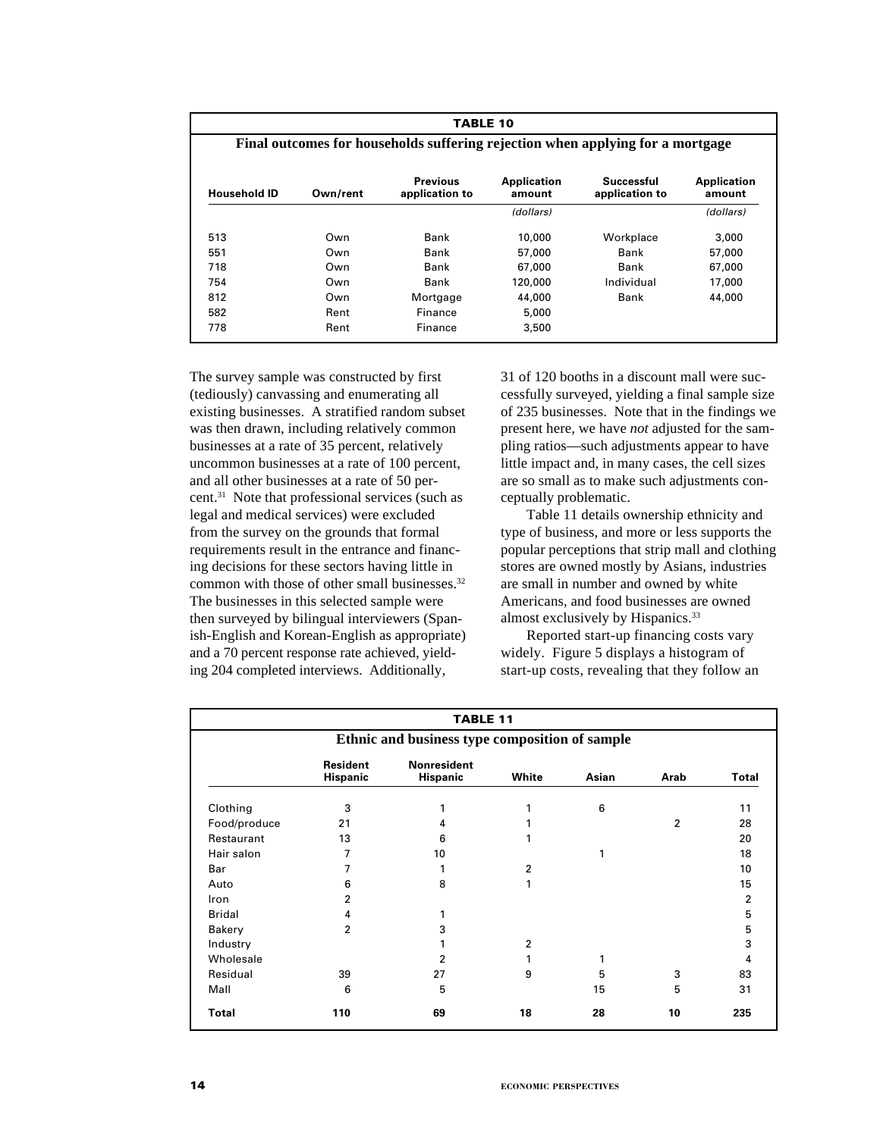|                                                                                                                                                               | <b>TABLE 10</b>                                                                |          |           |            |           |  |  |  |
|---------------------------------------------------------------------------------------------------------------------------------------------------------------|--------------------------------------------------------------------------------|----------|-----------|------------|-----------|--|--|--|
|                                                                                                                                                               | Final outcomes for households suffering rejection when applying for a mortgage |          |           |            |           |  |  |  |
| <b>Previous</b><br>Successful<br><b>Application</b><br>Application<br><b>Household ID</b><br>Own/rent<br>application to<br>application to<br>amount<br>amount |                                                                                |          |           |            |           |  |  |  |
|                                                                                                                                                               |                                                                                |          | (dollars) |            | (dollars) |  |  |  |
| 513                                                                                                                                                           | Own                                                                            | Bank     | 10,000    | Workplace  | 3,000     |  |  |  |
| 551                                                                                                                                                           | Own                                                                            | Bank     | 57,000    | Bank       | 57,000    |  |  |  |
| 718                                                                                                                                                           | Own                                                                            | Bank     | 67,000    | Bank       | 67,000    |  |  |  |
| 754                                                                                                                                                           | Own                                                                            | Bank     | 120,000   | Individual | 17,000    |  |  |  |
| 812                                                                                                                                                           | Own                                                                            | Mortgage | 44,000    | Bank       | 44,000    |  |  |  |
| 582                                                                                                                                                           | Rent                                                                           | Finance  | 5,000     |            |           |  |  |  |
| 778                                                                                                                                                           | Rent                                                                           | Finance  | 3,500     |            |           |  |  |  |

The survey sample was constructed by first (tediously) canvassing and enumerating all existing businesses. A stratified random subset was then drawn, including relatively common businesses at a rate of 35 percent, relatively uncommon businesses at a rate of 100 percent, and all other businesses at a rate of 50 percent.31 Note that professional services (such as legal and medical services) were excluded from the survey on the grounds that formal requirements result in the entrance and financing decisions for these sectors having little in common with those of other small businesses.<sup>32</sup> The businesses in this selected sample were then surveyed by bilingual interviewers (Spanish-English and Korean-English as appropriate) and a 70 percent response rate achieved, yielding 204 completed interviews. Additionally,

31 of 120 booths in a discount mall were successfully surveyed, yielding a final sample size of 235 businesses. Note that in the findings we present here, we have *not* adjusted for the sampling ratios—such adjustments appear to have little impact and, in many cases, the cell sizes are so small as to make such adjustments conceptually problematic.

Table 11 details ownership ethnicity and type of business, and more or less supports the popular perceptions that strip mall and clothing stores are owned mostly by Asians, industries are small in number and owned by white Americans, and food businesses are owned almost exclusively by Hispanics.33

Reported start-up financing costs vary widely. Figure 5 displays a histogram of start-up costs, revealing that they follow an

|               | <b>TABLE 11</b>                                |                                       |                |       |                |              |  |  |
|---------------|------------------------------------------------|---------------------------------------|----------------|-------|----------------|--------------|--|--|
|               | Ethnic and business type composition of sample |                                       |                |       |                |              |  |  |
|               | <b>Resident</b><br><b>Hispanic</b>             | <b>Nonresident</b><br><b>Hispanic</b> | White          | Asian | Arab           | <b>Total</b> |  |  |
| Clothing      | 3                                              | 1                                     |                | 6     |                | 11           |  |  |
| Food/produce  | 21                                             | 4                                     |                |       | $\overline{2}$ | 28           |  |  |
| Restaurant    | 13                                             | 6                                     |                |       |                | 20           |  |  |
| Hair salon    | 7                                              | 10                                    |                | 1     |                | 18           |  |  |
| Bar           | 7                                              | 1                                     | 2              |       |                | 10           |  |  |
| Auto          | 6                                              | 8                                     |                |       |                | 15           |  |  |
| <b>Iron</b>   | 2                                              |                                       |                |       |                | 2            |  |  |
| <b>Bridal</b> | 4                                              |                                       |                |       |                | 5            |  |  |
| <b>Bakery</b> | 2                                              | 3                                     |                |       |                | 5            |  |  |
| Industry      |                                                |                                       | $\overline{2}$ |       |                | 3            |  |  |
| Wholesale     |                                                | 2                                     |                | 1     |                | 4            |  |  |
| Residual      | 39                                             | 27                                    | 9              | 5     | 3              | 83           |  |  |
| Mall          | 6                                              | 5                                     |                | 15    | 5              | 31           |  |  |
| <b>Total</b>  | 110                                            | 69                                    | 18             | 28    | 10             | 235          |  |  |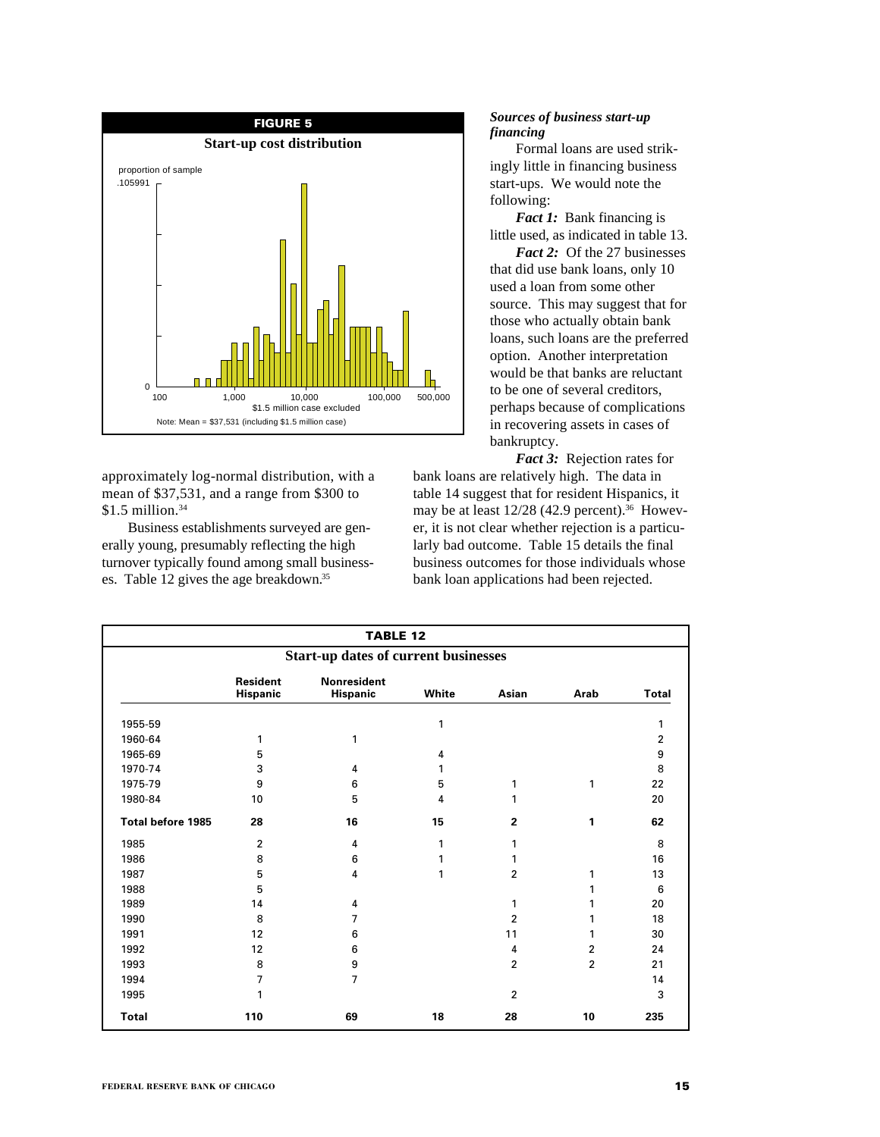

approximately log-normal distribution, with a mean of \$37,531, and a range from \$300 to  $$1.5$  million.<sup>34</sup>

Business establishments surveyed are generally young, presumably reflecting the high turnover typically found among small businesses. Table 12 gives the age breakdown.35

# *Sources of business start-up financing*

Formal loans are used strikingly little in financing business start-ups. We would note the following:

*Fact 1:* Bank financing is little used, as indicated in table 13.

*Fact 2:* Of the 27 businesses that did use bank loans, only 10 used a loan from some other source. This may suggest that for those who actually obtain bank loans, such loans are the preferred option. Another interpretation would be that banks are reluctant to be one of several creditors, perhaps because of complications in recovering assets in cases of bankruptcy.

*Fact 3:* Rejection rates for bank loans are relatively high. The data in table 14 suggest that for resident Hispanics, it may be at least 12/28 (42.9 percent).<sup>36</sup> However, it is not clear whether rejection is a particularly bad outcome. Table 15 details the final business outcomes for those individuals whose bank loan applications had been rejected.

|                                             | <b>TABLE 12</b>             |                                |       |                |                |                |
|---------------------------------------------|-----------------------------|--------------------------------|-------|----------------|----------------|----------------|
| <b>Start-up dates of current businesses</b> |                             |                                |       |                |                |                |
|                                             | <b>Resident</b><br>Hispanic | <b>Nonresident</b><br>Hispanic | White | Asian          | Arab           | <b>Total</b>   |
| 1955-59                                     |                             |                                | 1     |                |                | 1              |
| 1960-64                                     | 1                           | 1                              |       |                |                | $\overline{2}$ |
| 1965-69                                     | 5                           |                                | 4     |                |                | 9              |
| 1970-74                                     | 3                           | 4                              | 1     |                |                | 8              |
| 1975-79                                     | 9                           | 6                              | 5     | 1              | 1              | 22             |
| 1980-84                                     | 10                          | 5                              | 4     | 1              |                | 20             |
| <b>Total before 1985</b>                    | 28                          | 16                             | 15    | $\mathbf{2}$   | 1              | 62             |
| 1985                                        | $\overline{2}$              | 4                              | 1     | 1              |                | 8              |
| 1986                                        | 8                           | 6                              | 1     | 1              |                | 16             |
| 1987                                        | 5                           | 4                              | 1     | $\overline{2}$ | 1              | 13             |
| 1988                                        | 5                           |                                |       |                | 1              | 6              |
| 1989                                        | 14                          | 4                              |       | 1              | 1              | 20             |
| 1990                                        | 8                           | 7                              |       | 2              | 1              | 18             |
| 1991                                        | 12                          | 6                              |       | 11             | 1              | 30             |
| 1992                                        | 12                          | 6                              |       | 4              | $\overline{2}$ | 24             |
| 1993                                        | 8                           | 9                              |       | $\overline{2}$ | $\overline{2}$ | 21             |
| 1994                                        | 7                           | 7                              |       |                |                | 14             |
| 1995                                        | 1                           |                                |       | $\overline{2}$ |                | 3              |
| <b>Total</b>                                | 110                         | 69                             | 18    | 28             | 10             | 235            |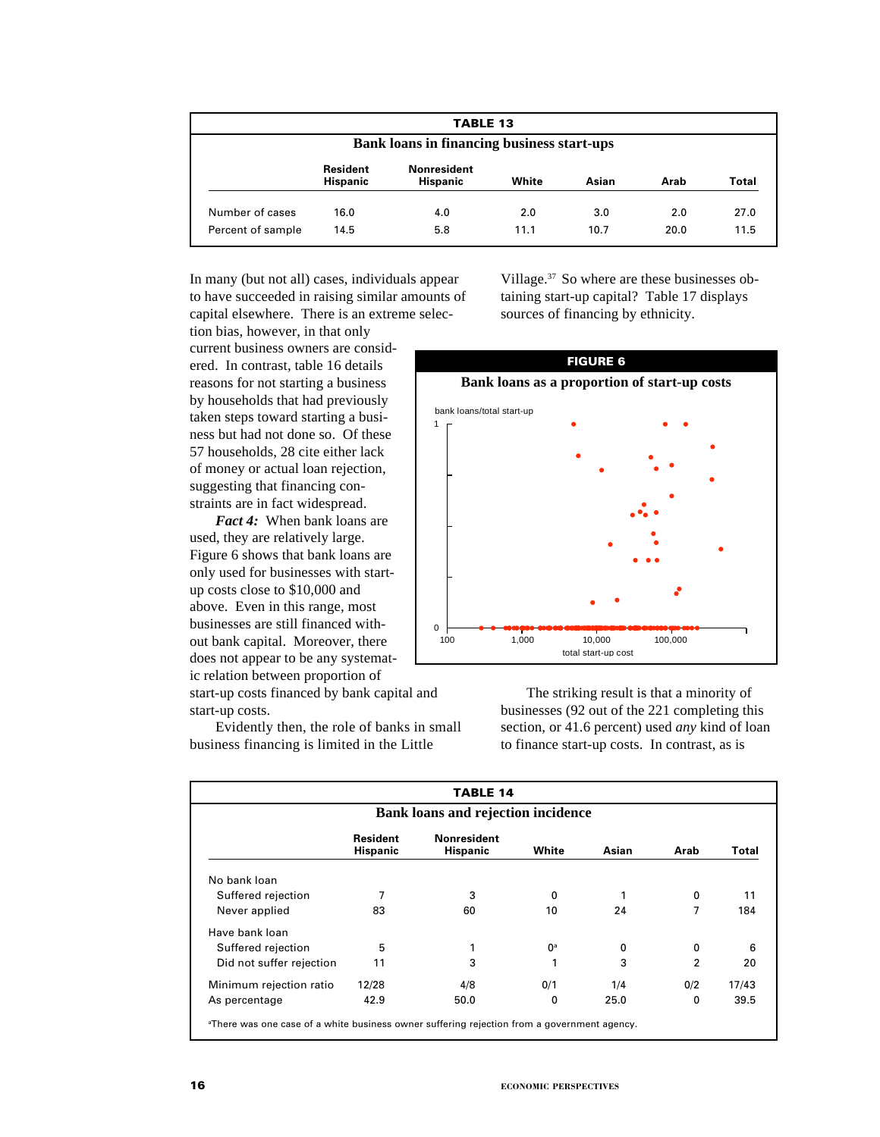|                                                   | <b>TABLE 13</b>                    |                                       |       |       |      |       |  |  |  |  |  |  |
|---------------------------------------------------|------------------------------------|---------------------------------------|-------|-------|------|-------|--|--|--|--|--|--|
| <b>Bank loans in financing business start-ups</b> |                                    |                                       |       |       |      |       |  |  |  |  |  |  |
|                                                   | <b>Resident</b><br><b>Hispanic</b> | <b>Nonresident</b><br><b>Hispanic</b> | White | Asian | Arab | Total |  |  |  |  |  |  |
| Number of cases                                   | 16.0                               | 4.0                                   | 2.0   | 3.0   | 2.0  | 27.0  |  |  |  |  |  |  |
| Percent of sample                                 | 14.5                               | 5.8                                   | 11.1  | 10.7  | 20.0 | 11.5  |  |  |  |  |  |  |

In many (but not all) cases, individuals appear to have succeeded in raising similar amounts of capital elsewhere. There is an extreme selec-

tion bias, however, in that only current business owners are considered. In contrast, table 16 details reasons for not starting a business by households that had previously taken steps toward starting a business but had not done so. Of these 57 households, 28 cite either lack of money or actual loan rejection, suggesting that financing constraints are in fact widespread.

*Fact 4:* When bank loans are used, they are relatively large. Figure 6 shows that bank loans are only used for businesses with startup costs close to \$10,000 and above. Even in this range, most businesses are still financed without bank capital. Moreover, there does not appear to be any systematic relation between proportion of

start-up costs financed by bank capital and start-up costs.

Evidently then, the role of banks in small business financing is limited in the Little

Village.37 So where are these businesses obtaining start-up capital? Table 17 displays sources of financing by ethnicity.



The striking result is that a minority of businesses (92 out of the 221 completing this section, or 41.6 percent) used *any* kind of loan to finance start-up costs. In contrast, as is

| <b>TABLE 14</b>                           |                                    |                                       |       |       |                |       |  |  |  |  |  |
|-------------------------------------------|------------------------------------|---------------------------------------|-------|-------|----------------|-------|--|--|--|--|--|
| <b>Bank loans and rejection incidence</b> |                                    |                                       |       |       |                |       |  |  |  |  |  |
|                                           | <b>Resident</b><br><b>Hispanic</b> | <b>Nonresident</b><br><b>Hispanic</b> | White | Asian | Arab           | Total |  |  |  |  |  |
| No bank loan                              |                                    |                                       |       |       |                |       |  |  |  |  |  |
| Suffered rejection                        | 7                                  | 3                                     | 0     |       | 0              | 11    |  |  |  |  |  |
| Never applied                             | 83                                 | 60                                    | 10    | 24    | 7              | 184   |  |  |  |  |  |
| Have bank loan                            |                                    |                                       |       |       |                |       |  |  |  |  |  |
| Suffered rejection                        | 5                                  |                                       | $0^a$ | 0     | 0              | 6     |  |  |  |  |  |
| Did not suffer rejection                  | 11                                 | 3                                     | 1     | 3     | $\overline{2}$ | 20    |  |  |  |  |  |
| Minimum rejection ratio                   | 12/28                              | 4/8                                   | 0/1   | 1/4   | 0/2            | 17/43 |  |  |  |  |  |
| As percentage                             | 42.9                               | 50.0                                  | 0     | 25.0  | 0              | 39.5  |  |  |  |  |  |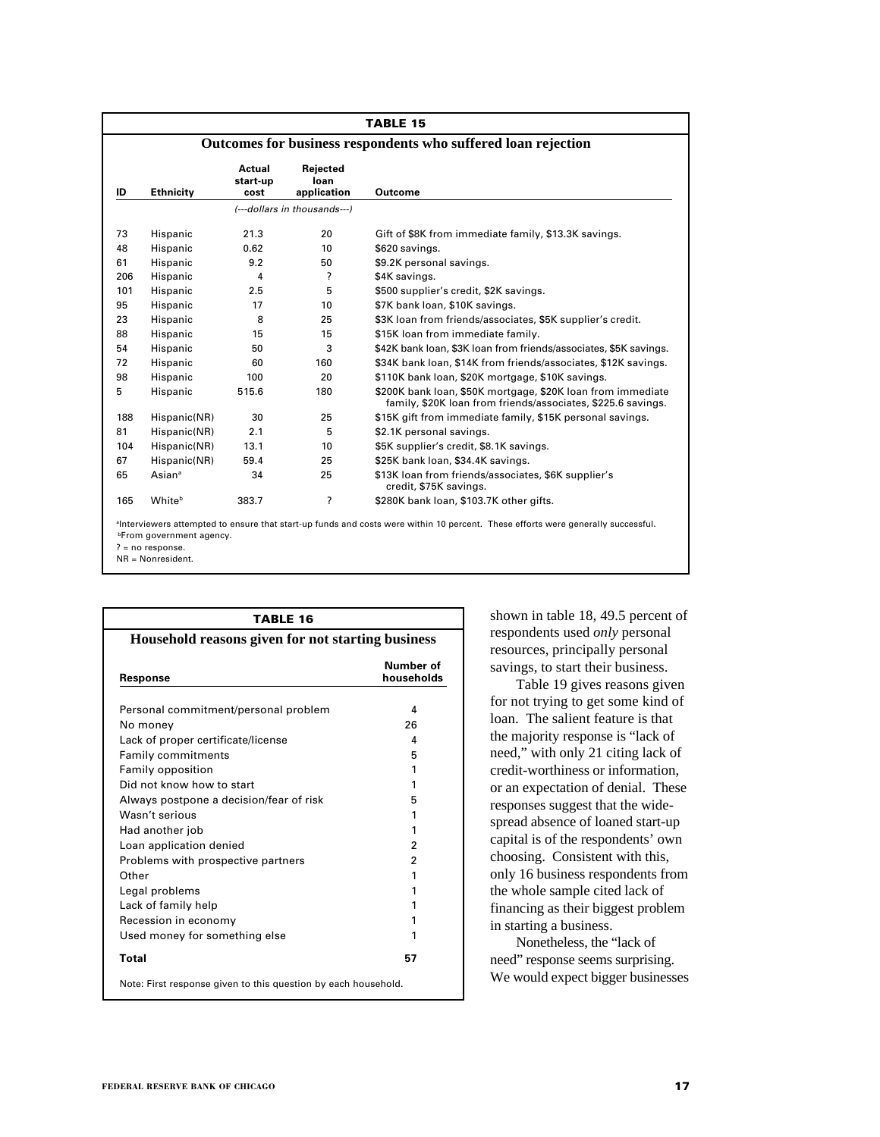| TABLE 15 |                    |                            |                                 |                                                                                                                             |  |  |  |  |  |  |
|----------|--------------------|----------------------------|---------------------------------|-----------------------------------------------------------------------------------------------------------------------------|--|--|--|--|--|--|
|          |                    |                            |                                 | Outcomes for business respondents who suffered loan rejection                                                               |  |  |  |  |  |  |
| ID       | <b>Ethnicity</b>   | Actual<br>start-up<br>cost | Rejected<br>loan<br>application | Outcome                                                                                                                     |  |  |  |  |  |  |
|          |                    |                            | (---dollars in thousands---)    |                                                                                                                             |  |  |  |  |  |  |
| 73       | Hispanic           | 21.3                       | 20                              | Gift of \$8K from immediate family, \$13.3K savings.                                                                        |  |  |  |  |  |  |
| 48       | Hispanic           | 0.62                       | 10                              | \$620 savings.                                                                                                              |  |  |  |  |  |  |
| 61       | Hispanic           | 9.2                        | 50                              | \$9.2K personal savings.                                                                                                    |  |  |  |  |  |  |
| 206      | Hispanic           | 4                          | ?                               | \$4K savings.                                                                                                               |  |  |  |  |  |  |
| 101      | Hispanic           | 2.5                        | 5                               | \$500 supplier's credit, \$2K savings.                                                                                      |  |  |  |  |  |  |
| 95       | Hispanic           | 17                         | 10                              | \$7K bank loan, \$10K savings.                                                                                              |  |  |  |  |  |  |
| 23       | Hispanic           | 8                          | 25                              | \$3K loan from friends/associates, \$5K supplier's credit.                                                                  |  |  |  |  |  |  |
| 88       | Hispanic           | 15                         | 15                              | \$15K loan from immediate family.                                                                                           |  |  |  |  |  |  |
| 54       | Hispanic           | 50                         | 3                               | \$42K bank loan, \$3K loan from friends/associates, \$5K savings.                                                           |  |  |  |  |  |  |
| 72       | Hispanic           | 60                         | 160                             | \$34K bank loan, \$14K from friends/associates, \$12K savings.                                                              |  |  |  |  |  |  |
| 98       | Hispanic           | 100                        | 20                              | \$110K bank loan, \$20K mortgage, \$10K savings.                                                                            |  |  |  |  |  |  |
| 5        | Hispanic           | 515.6                      | 180                             | \$200K bank loan, \$50K mortgage, \$20K loan from immediate<br>family, \$20K loan from friends/associates, \$225.6 savings. |  |  |  |  |  |  |
| 188      | Hispanic(NR)       | 30                         | 25                              | \$15K gift from immediate family, \$15K personal savings.                                                                   |  |  |  |  |  |  |
| 81       | Hispanic(NR)       | 2.1                        | 5                               | \$2.1K personal savings.                                                                                                    |  |  |  |  |  |  |
| 104      | Hispanic(NR)       | 13.1                       | 10                              | \$5K supplier's credit, \$8.1K savings.                                                                                     |  |  |  |  |  |  |
| 67       | Hispanic(NR)       | 59.4                       | 25                              | \$25K bank loan, \$34.4K savings.                                                                                           |  |  |  |  |  |  |
| 65       | Asian <sup>a</sup> | 34                         | 25                              | \$13K loan from friends/associates, \$6K supplier's<br>credit, \$75K savings.                                               |  |  |  |  |  |  |
| 165      | Whiteb             | 383.7                      | 2                               | \$280K bank loan, \$103.7K other gifts.                                                                                     |  |  |  |  |  |  |

<sup>a</sup>Interviewers attempted to ensure that start-up funds and costs were within 10 percent. These efforts were generally successful. **bFrom government agency.** 

? = no response.

NR = Nonresident.

| TABLE 16                                                      |                         |  |  |  |  |  |
|---------------------------------------------------------------|-------------------------|--|--|--|--|--|
| Household reasons given for not starting business<br>Response | Number of<br>households |  |  |  |  |  |
| Personal commitment/personal problem                          | 4                       |  |  |  |  |  |
| No money                                                      | 26                      |  |  |  |  |  |
| Lack of proper certificate/license                            | 4                       |  |  |  |  |  |
| <b>Family commitments</b>                                     | 5                       |  |  |  |  |  |
| Family opposition                                             | 1                       |  |  |  |  |  |
| Did not know how to start                                     | 1                       |  |  |  |  |  |
| Always postpone a decision/fear of risk                       | 5                       |  |  |  |  |  |
| Wasn't serious                                                | 1                       |  |  |  |  |  |
| Had another job                                               | 1                       |  |  |  |  |  |
| Loan application denied                                       | 2                       |  |  |  |  |  |
| Problems with prospective partners                            | 2                       |  |  |  |  |  |
| Other                                                         | 1                       |  |  |  |  |  |
| Legal problems                                                | 1                       |  |  |  |  |  |
| Lack of family help                                           | 1                       |  |  |  |  |  |
| Recession in economy                                          | 1                       |  |  |  |  |  |
| Used money for something else                                 |                         |  |  |  |  |  |
| <b>Total</b>                                                  | 57                      |  |  |  |  |  |

shown in table 18, 49.5 percent of respondents used *only* personal resources, principally personal savings, to start their business.

Table 19 gives reasons given for not trying to get some kind of loan. The salient feature is that the majority response is "lack of need," with only 21 citing lack of credit-worthiness or information, or an expectation of denial. These responses suggest that the widespread absence of loaned start-up capital is of the respondents' own choosing. Consistent with this, only 16 business respondents from the whole sample cited lack of financing as their biggest problem in starting a business.

Nonetheless, the "lack of need" response seems surprising. We would expect bigger businesses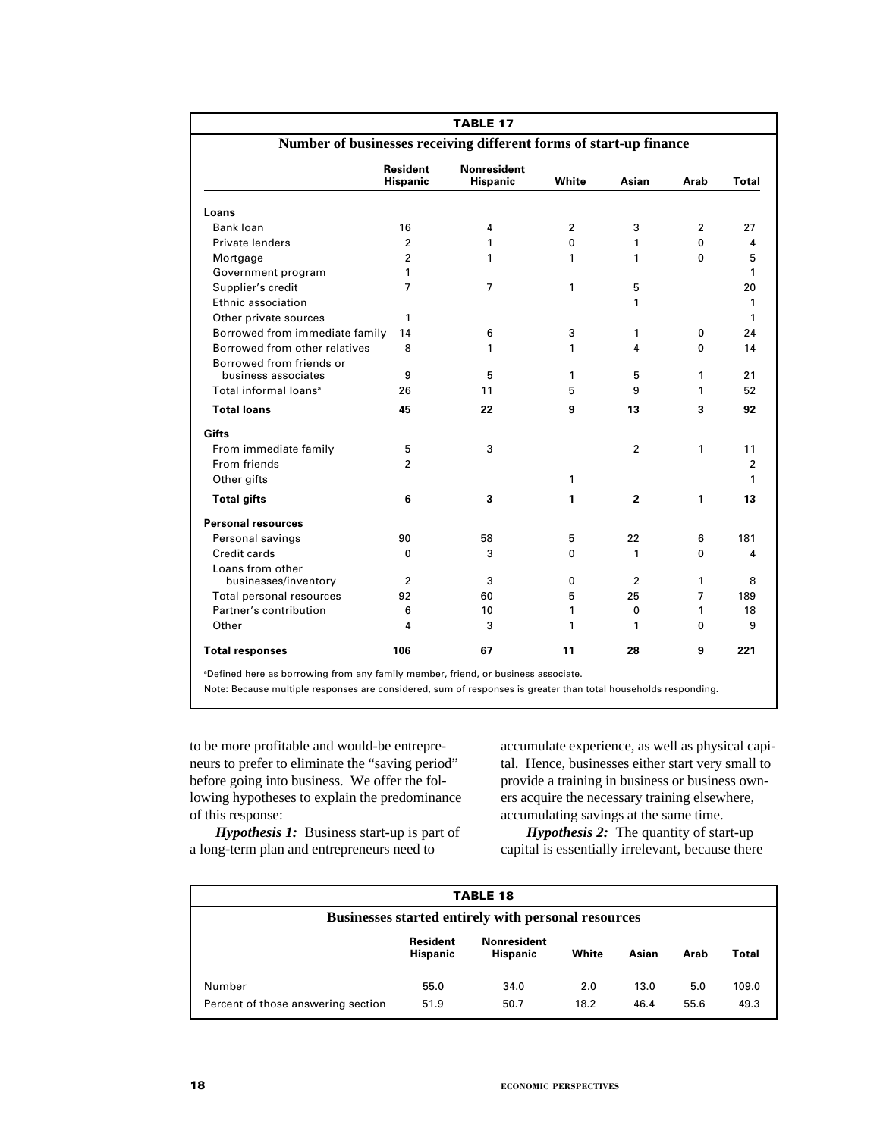| <b>TABLE 17</b>                                                    |                                    |                                       |                |                |                |                |  |  |  |  |
|--------------------------------------------------------------------|------------------------------------|---------------------------------------|----------------|----------------|----------------|----------------|--|--|--|--|
| Number of businesses receiving different forms of start-up finance |                                    |                                       |                |                |                |                |  |  |  |  |
|                                                                    | <b>Resident</b><br><b>Hispanic</b> | <b>Nonresident</b><br><b>Hispanic</b> | White          | Asian          | Arab           | Total          |  |  |  |  |
| Loans                                                              |                                    |                                       |                |                |                |                |  |  |  |  |
| <b>Bank loan</b>                                                   | 16                                 | 4                                     | $\overline{2}$ | 3              | $\overline{2}$ | 27             |  |  |  |  |
| Private lenders                                                    | $\overline{2}$                     | 1                                     | $\Omega$       | 1              | 0              | 4              |  |  |  |  |
| Mortgage                                                           | $\overline{2}$                     | 1                                     | 1              | 1              | 0              | 5              |  |  |  |  |
| Government program                                                 | 1                                  |                                       |                |                |                | $\mathbf{1}$   |  |  |  |  |
| Supplier's credit                                                  | 7                                  | 7                                     | 1              | 5              |                | 20             |  |  |  |  |
| Ethnic association                                                 |                                    |                                       |                | 1              |                | 1              |  |  |  |  |
| Other private sources                                              | 1                                  |                                       |                |                |                | 1              |  |  |  |  |
| Borrowed from immediate family                                     | 14                                 | 6                                     | 3              | 1              | 0              | 24             |  |  |  |  |
| Borrowed from other relatives                                      | 8                                  | 1                                     | 1              | 4              | 0              | 14             |  |  |  |  |
| Borrowed from friends or                                           |                                    |                                       |                |                |                |                |  |  |  |  |
| business associates                                                | 9                                  | 5                                     | 1              | 5              | 1              | 21             |  |  |  |  |
| Total informal loans <sup>a</sup>                                  | 26                                 | 11                                    | 5              | 9              | 1              | 52             |  |  |  |  |
| <b>Total loans</b>                                                 | 45                                 | 22                                    | 9              | 13             | 3              | 92             |  |  |  |  |
| Gifts                                                              |                                    |                                       |                |                |                |                |  |  |  |  |
| From immediate family                                              | 5                                  | 3                                     |                | $\overline{2}$ | 1              | 11             |  |  |  |  |
| From friends                                                       | $\overline{2}$                     |                                       |                |                |                | $\overline{2}$ |  |  |  |  |
| Other gifts                                                        |                                    |                                       | 1              |                |                | 1              |  |  |  |  |
| <b>Total gifts</b>                                                 | 6                                  | 3                                     | 1              | $\mathbf{2}$   | 1              | 13             |  |  |  |  |
| <b>Personal resources</b>                                          |                                    |                                       |                |                |                |                |  |  |  |  |
| Personal savings                                                   | 90                                 | 58                                    | 5              | 22             | 6              | 181            |  |  |  |  |
| Credit cards                                                       | 0                                  | 3                                     | 0              | 1              | 0              | 4              |  |  |  |  |
| Loans from other                                                   |                                    |                                       |                |                |                |                |  |  |  |  |
| businesses/inventory                                               | $\overline{2}$                     | 3                                     | 0              | $\overline{2}$ | 1              | 8              |  |  |  |  |
| Total personal resources                                           | 92                                 | 60                                    | 5              | 25             | $\overline{7}$ | 189            |  |  |  |  |
| Partner's contribution                                             | 6                                  | 10                                    | 1              | 0              | 1              | 18             |  |  |  |  |
| Other                                                              | 4                                  | 3                                     | 1              | 1              | $\Omega$       | 9              |  |  |  |  |
| <b>Total responses</b>                                             | 106                                | 67                                    | 11             | 28             | 9              | 221            |  |  |  |  |

to be more profitable and would-be entrepreneurs to prefer to eliminate the "saving period" before going into business. We offer the following hypotheses to explain the predominance of this response:

accumulate experience, as well as physical capital. Hence, businesses either start very small to provide a training in business or business owners acquire the necessary training elsewhere, accumulating savings at the same time.

*Hypothesis 1:* Business start-up is part of a long-term plan and entrepreneurs need to

*Hypothesis 2:* The quantity of start-up capital is essentially irrelevant, because there

| <b>TABLE 18</b>                                            |                                    |                                       |       |       |      |       |  |  |  |  |  |  |
|------------------------------------------------------------|------------------------------------|---------------------------------------|-------|-------|------|-------|--|--|--|--|--|--|
| <b>Businesses started entirely with personal resources</b> |                                    |                                       |       |       |      |       |  |  |  |  |  |  |
|                                                            | <b>Resident</b><br><b>Hispanic</b> | <b>Nonresident</b><br><b>Hispanic</b> | White | Asian | Arab | Total |  |  |  |  |  |  |
| Number                                                     | 55.0                               | 34.0                                  | 2.0   | 13.0  | 5.0  | 109.0 |  |  |  |  |  |  |
| Percent of those answering section                         | 51.9                               | 50.7                                  | 18.2  | 46.4  | 55.6 | 49.3  |  |  |  |  |  |  |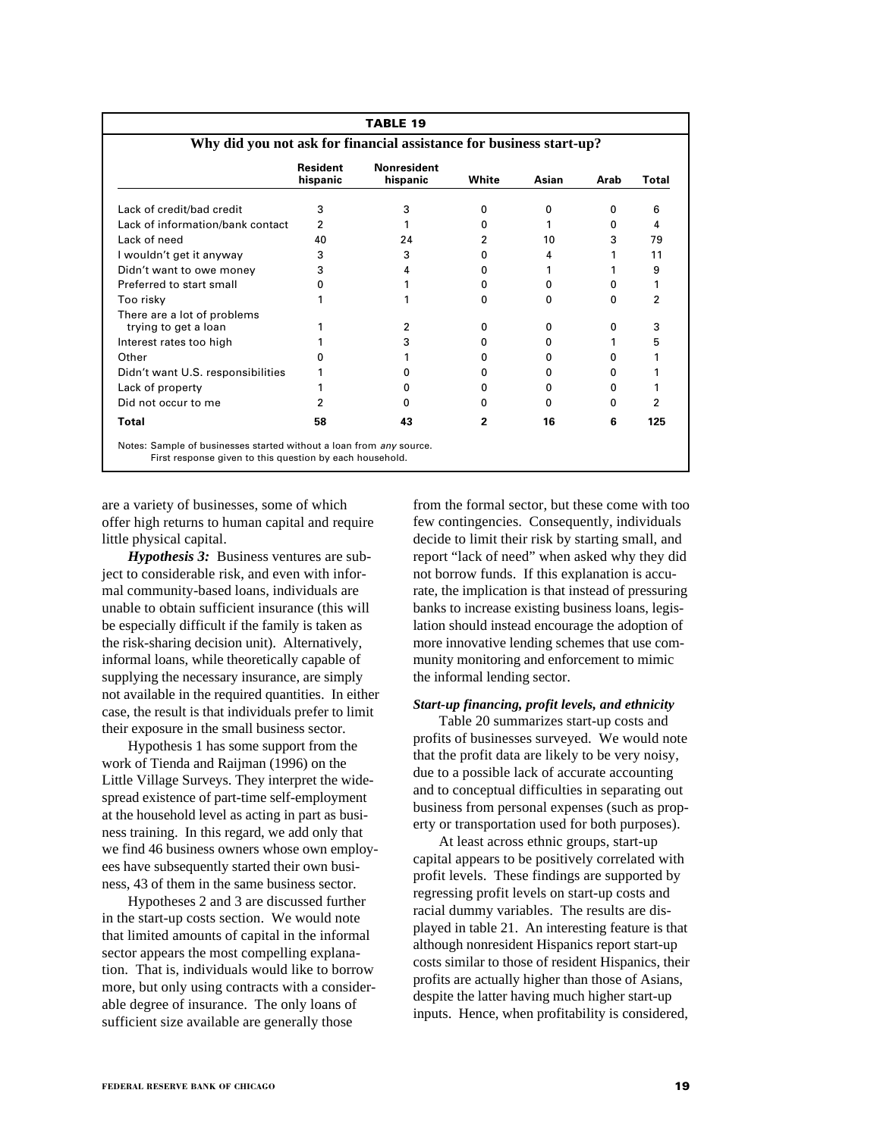| <b>TABLE 19</b>                                                     |                             |                                |                          |              |          |              |  |  |  |  |  |  |
|---------------------------------------------------------------------|-----------------------------|--------------------------------|--------------------------|--------------|----------|--------------|--|--|--|--|--|--|
| Why did you not ask for financial assistance for business start-up? |                             |                                |                          |              |          |              |  |  |  |  |  |  |
|                                                                     | <b>Resident</b><br>hispanic | <b>Nonresident</b><br>hispanic | White                    | Asian        | Arab     | <b>Total</b> |  |  |  |  |  |  |
| Lack of credit/bad credit                                           | 3                           | 3                              | 0                        | 0            | $\Omega$ | 6            |  |  |  |  |  |  |
| Lack of information/bank contact                                    | 2                           |                                | O.                       |              | o        | 4            |  |  |  |  |  |  |
| Lack of need                                                        | 40                          | 24                             | 2                        | 10           | 3        | 79           |  |  |  |  |  |  |
| I wouldn't get it anyway                                            | 3                           | 3                              | O.                       | 4            |          | 11           |  |  |  |  |  |  |
| Didn't want to owe money                                            | 3                           | 4                              | 0                        |              |          | 9            |  |  |  |  |  |  |
| Preferred to start small                                            | n                           |                                | O.                       | 0            | o        | 1            |  |  |  |  |  |  |
| Too risky                                                           |                             |                                | 0                        | <sup>0</sup> | o        | 2            |  |  |  |  |  |  |
| There are a lot of problems<br>trying to get a loan                 |                             | 2                              | O.                       | 0            | n        | 3            |  |  |  |  |  |  |
| Interest rates too high                                             |                             | 3                              | n                        | 0            |          | 5            |  |  |  |  |  |  |
| Other                                                               |                             |                                | n                        | <sup>0</sup> |          |              |  |  |  |  |  |  |
| Didn't want U.S. responsibilities                                   |                             | n                              | 0                        | 0            | o        |              |  |  |  |  |  |  |
| Lack of property                                                    |                             | o                              | 0                        | <sup>0</sup> | o        |              |  |  |  |  |  |  |
| Did not occur to me                                                 |                             | n                              | n                        | <sup>n</sup> | 0        | 2            |  |  |  |  |  |  |
| Total                                                               | 58                          | 43                             | $\overline{\phantom{a}}$ | 16           | 6        | 125          |  |  |  |  |  |  |

are a variety of businesses, some of which offer high returns to human capital and require little physical capital.

*Hypothesis 3:* Business ventures are subject to considerable risk, and even with informal community-based loans, individuals are unable to obtain sufficient insurance (this will be especially difficult if the family is taken as the risk-sharing decision unit). Alternatively, informal loans, while theoretically capable of supplying the necessary insurance, are simply not available in the required quantities. In either case, the result is that individuals prefer to limit their exposure in the small business sector.

Hypothesis 1 has some support from the work of Tienda and Raijman (1996) on the Little Village Surveys. They interpret the widespread existence of part-time self-employment at the household level as acting in part as business training. In this regard, we add only that we find 46 business owners whose own employees have subsequently started their own business, 43 of them in the same business sector.

Hypotheses 2 and 3 are discussed further in the start-up costs section. We would note that limited amounts of capital in the informal sector appears the most compelling explanation. That is, individuals would like to borrow more, but only using contracts with a considerable degree of insurance. The only loans of sufficient size available are generally those

from the formal sector, but these come with too few contingencies. Consequently, individuals decide to limit their risk by starting small, and report "lack of need" when asked why they did not borrow funds. If this explanation is accurate, the implication is that instead of pressuring banks to increase existing business loans, legislation should instead encourage the adoption of more innovative lending schemes that use community monitoring and enforcement to mimic the informal lending sector.

#### *Start-up financing, profit levels, and ethnicity*

Table 20 summarizes start-up costs and profits of businesses surveyed. We would note that the profit data are likely to be very noisy, due to a possible lack of accurate accounting and to conceptual difficulties in separating out business from personal expenses (such as property or transportation used for both purposes).

At least across ethnic groups, start-up capital appears to be positively correlated with profit levels. These findings are supported by regressing profit levels on start-up costs and racial dummy variables. The results are displayed in table 21. An interesting feature is that although nonresident Hispanics report start-up costs similar to those of resident Hispanics, their profits are actually higher than those of Asians, despite the latter having much higher start-up inputs. Hence, when profitability is considered,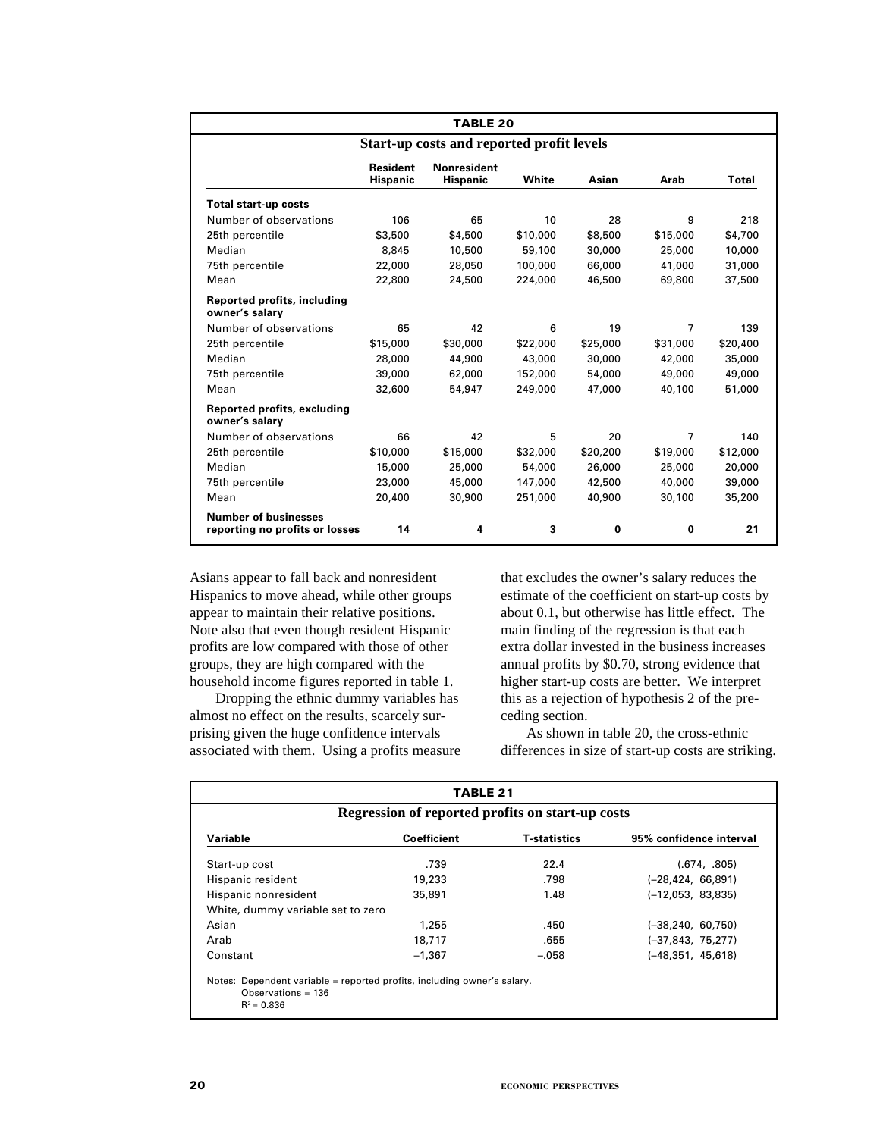|                                                               | <b>TABLE 20</b>                           |                                       |          |          |                |              |  |  |  |  |  |  |
|---------------------------------------------------------------|-------------------------------------------|---------------------------------------|----------|----------|----------------|--------------|--|--|--|--|--|--|
|                                                               | Start-up costs and reported profit levels |                                       |          |          |                |              |  |  |  |  |  |  |
|                                                               | <b>Resident</b><br><b>Hispanic</b>        | <b>Nonresident</b><br><b>Hispanic</b> | White    | Asian    | Arab           | <b>Total</b> |  |  |  |  |  |  |
| <b>Total start-up costs</b>                                   |                                           |                                       |          |          |                |              |  |  |  |  |  |  |
| Number of observations                                        | 106                                       | 65                                    | 10       | 28       | 9              | 218          |  |  |  |  |  |  |
| 25th percentile                                               | \$3,500                                   | \$4,500                               | \$10,000 | \$8,500  | \$15,000       | \$4,700      |  |  |  |  |  |  |
| Median                                                        | 8,845                                     | 10,500                                | 59,100   | 30,000   | 25,000         | 10,000       |  |  |  |  |  |  |
| 75th percentile                                               | 22,000                                    | 28,050                                | 100,000  | 66,000   | 41,000         | 31,000       |  |  |  |  |  |  |
| Mean                                                          | 22,800                                    | 24,500                                | 224,000  | 46,500   | 69,800         | 37,500       |  |  |  |  |  |  |
| <b>Reported profits, including</b><br>owner's salary          |                                           |                                       |          |          |                |              |  |  |  |  |  |  |
| Number of observations                                        | 65                                        | 42                                    | 6        | 19       | $\overline{7}$ | 139          |  |  |  |  |  |  |
| 25th percentile                                               | \$15,000                                  | \$30,000                              | \$22,000 | \$25,000 | \$31,000       | \$20,400     |  |  |  |  |  |  |
| Median                                                        | 28,000                                    | 44,900                                | 43,000   | 30,000   | 42,000         | 35,000       |  |  |  |  |  |  |
| 75th percentile                                               | 39,000                                    | 62,000                                | 152,000  | 54,000   | 49,000         | 49,000       |  |  |  |  |  |  |
| Mean                                                          | 32,600                                    | 54,947                                | 249,000  | 47,000   | 40,100         | 51,000       |  |  |  |  |  |  |
| <b>Reported profits, excluding</b><br>owner's salary          |                                           |                                       |          |          |                |              |  |  |  |  |  |  |
| Number of observations                                        | 66                                        | 42                                    | 5        | 20       | 7              | 140          |  |  |  |  |  |  |
| 25th percentile                                               | \$10,000                                  | \$15,000                              | \$32,000 | \$20,200 | \$19,000       | \$12,000     |  |  |  |  |  |  |
| Median                                                        | 15,000                                    | 25,000                                | 54,000   | 26,000   | 25,000         | 20,000       |  |  |  |  |  |  |
| 75th percentile                                               | 23,000                                    | 45,000                                | 147,000  | 42,500   | 40,000         | 39,000       |  |  |  |  |  |  |
| Mean                                                          | 20,400                                    | 30,900                                | 251,000  | 40,900   | 30,100         | 35,200       |  |  |  |  |  |  |
| <b>Number of businesses</b><br>reporting no profits or losses | 14                                        | 4                                     | 3        | $\bf{0}$ | $\bf{0}$       | 21           |  |  |  |  |  |  |

Asians appear to fall back and nonresident Hispanics to move ahead, while other groups appear to maintain their relative positions. Note also that even though resident Hispanic profits are low compared with those of other groups, they are high compared with the household income figures reported in table 1.

Dropping the ethnic dummy variables has almost no effect on the results, scarcely surprising given the huge confidence intervals associated with them. Using a profits measure

that excludes the owner's salary reduces the estimate of the coefficient on start-up costs by about 0.1, but otherwise has little effect. The main finding of the regression is that each extra dollar invested in the business increases annual profits by \$0.70, strong evidence that higher start-up costs are better. We interpret this as a rejection of hypothesis 2 of the preceding section.

As shown in table 20, the cross-ethnic differences in size of start-up costs are striking.

| <b>TABLE 21</b>                                                                                                  |                    |                     |                         |  |  |  |  |  |  |  |
|------------------------------------------------------------------------------------------------------------------|--------------------|---------------------|-------------------------|--|--|--|--|--|--|--|
| Regression of reported profits on start-up costs                                                                 |                    |                     |                         |  |  |  |  |  |  |  |
| Variable                                                                                                         | <b>Coefficient</b> | <b>T-statistics</b> | 95% confidence interval |  |  |  |  |  |  |  |
| Start-up cost                                                                                                    | .739               | 22.4                | (.674, .805)            |  |  |  |  |  |  |  |
| Hispanic resident                                                                                                | 19,233             | .798                | $(-28, 424, 66, 891)$   |  |  |  |  |  |  |  |
| Hispanic nonresident                                                                                             | 35,891             | 1.48                | $(-12.053, 83.835)$     |  |  |  |  |  |  |  |
| White, dummy variable set to zero                                                                                |                    |                     |                         |  |  |  |  |  |  |  |
| Asian                                                                                                            | 1,255              | .450                | $(-38, 240, 60, 750)$   |  |  |  |  |  |  |  |
| Arab                                                                                                             | 18,717             | .655                | $(-37, 843, 75, 277)$   |  |  |  |  |  |  |  |
| Constant                                                                                                         | $-1.367$           | $-.058$             | $(-48,351, 45,618)$     |  |  |  |  |  |  |  |
| Notes: Dependent variable = reported profits, including owner's salary.<br>Observations = $136$<br>$R^2 = 0.836$ |                    |                     |                         |  |  |  |  |  |  |  |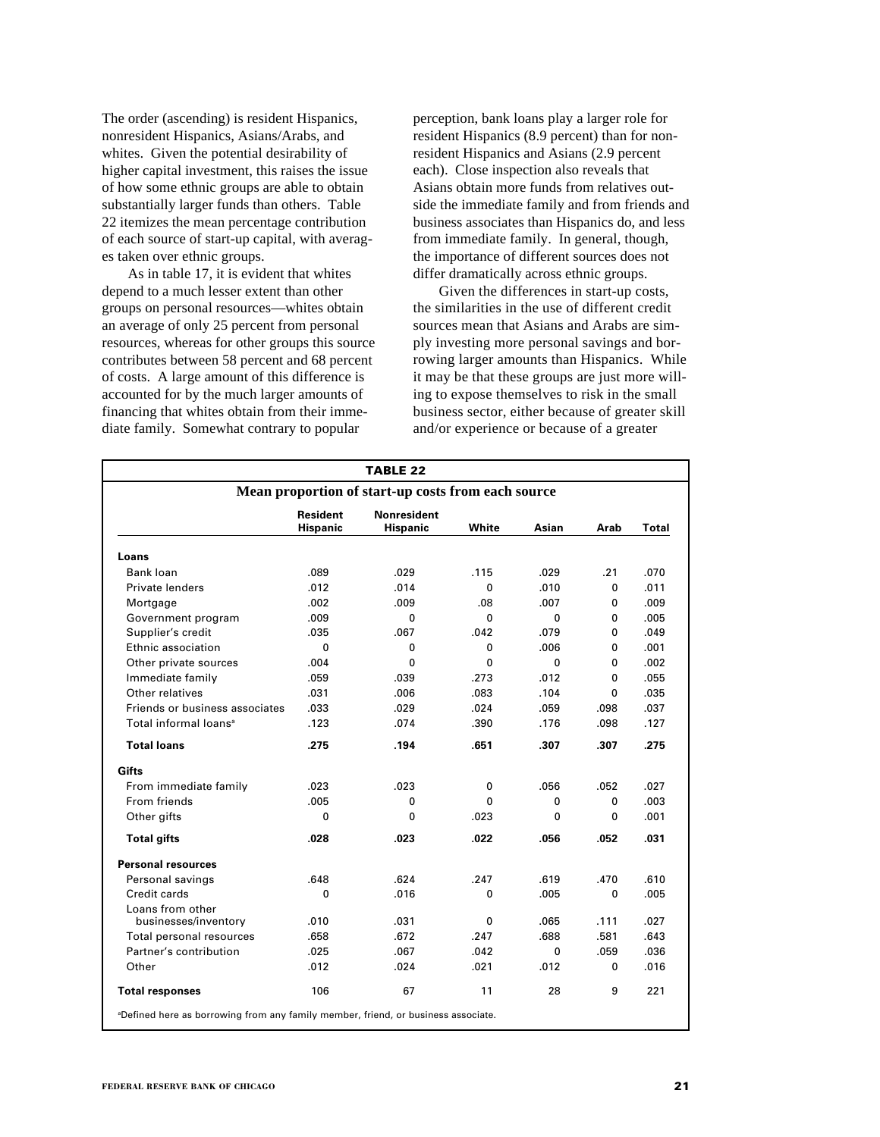The order (ascending) is resident Hispanics, nonresident Hispanics, Asians/Arabs, and whites. Given the potential desirability of higher capital investment, this raises the issue of how some ethnic groups are able to obtain substantially larger funds than others. Table 22 itemizes the mean percentage contribution of each source of start-up capital, with averages taken over ethnic groups.

As in table 17, it is evident that whites depend to a much lesser extent than other groups on personal resources—whites obtain an average of only 25 percent from personal resources, whereas for other groups this source contributes between 58 percent and 68 percent of costs. A large amount of this difference is accounted for by the much larger amounts of financing that whites obtain from their immediate family. Somewhat contrary to popular

perception, bank loans play a larger role for resident Hispanics (8.9 percent) than for nonresident Hispanics and Asians (2.9 percent each). Close inspection also reveals that Asians obtain more funds from relatives outside the immediate family and from friends and business associates than Hispanics do, and less from immediate family. In general, though, the importance of different sources does not differ dramatically across ethnic groups.

Given the differences in start-up costs, the similarities in the use of different credit sources mean that Asians and Arabs are simply investing more personal savings and borrowing larger amounts than Hispanics. While it may be that these groups are just more willing to expose themselves to risk in the small business sector, either because of greater skill and/or experience or because of a greater

|                                   |                                    | <b>TABLE 22</b>                                    |              |             |              |       |  |  |  |  |  |  |  |
|-----------------------------------|------------------------------------|----------------------------------------------------|--------------|-------------|--------------|-------|--|--|--|--|--|--|--|
|                                   |                                    | Mean proportion of start-up costs from each source |              |             |              |       |  |  |  |  |  |  |  |
|                                   | <b>Resident</b><br><b>Hispanic</b> | Nonresident<br><b>Hispanic</b>                     | White        | Asian       | Arab         | Total |  |  |  |  |  |  |  |
| Loans                             |                                    |                                                    |              |             |              |       |  |  |  |  |  |  |  |
| Bank loan                         | .089                               | .029                                               | .115         | .029        | .21          | .070  |  |  |  |  |  |  |  |
| Private lenders                   | .012                               | .014                                               | $\Omega$     | .010        | 0            | .011  |  |  |  |  |  |  |  |
| Mortgage                          | .002                               | .009                                               | .08          | .007        | 0            | .009  |  |  |  |  |  |  |  |
| Government program                | .009                               | 0                                                  | $\Omega$     | 0           | 0            | .005  |  |  |  |  |  |  |  |
| Supplier's credit                 | .035                               | .067                                               | .042         | .079        | 0            | .049  |  |  |  |  |  |  |  |
| Ethnic association                | $\Omega$                           | 0                                                  | $\Omega$     | .006        | 0            | .001  |  |  |  |  |  |  |  |
| Other private sources             | .004                               | 0                                                  | 0            | $\mathbf 0$ | 0            | .002  |  |  |  |  |  |  |  |
| Immediate family                  | .059                               | .039                                               | .273         | .012        | $\Omega$     | .055  |  |  |  |  |  |  |  |
| Other relatives                   | .031                               | .006                                               | .083         | .104        | $\mathbf{0}$ | .035  |  |  |  |  |  |  |  |
| Friends or business associates    | .033                               | .029                                               | .024         | .059        | .098         | .037  |  |  |  |  |  |  |  |
| Total informal loans <sup>a</sup> | .123                               | .074                                               | .390         | .176        | .098         | .127  |  |  |  |  |  |  |  |
| <b>Total loans</b>                | .275                               | .194                                               | .651         | .307        | .307         | .275  |  |  |  |  |  |  |  |
| Gifts                             |                                    |                                                    |              |             |              |       |  |  |  |  |  |  |  |
| From immediate family             | .023                               | .023                                               | $\mathbf{0}$ | .056        | .052         | .027  |  |  |  |  |  |  |  |
| From friends                      | .005                               | 0                                                  | $\Omega$     | 0           | $\mathbf{0}$ | .003  |  |  |  |  |  |  |  |
| Other gifts                       | 0                                  | 0                                                  | .023         | 0           | 0            | .001  |  |  |  |  |  |  |  |
| <b>Total gifts</b>                | .028                               | .023                                               | .022         | .056        | .052         | .031  |  |  |  |  |  |  |  |
| <b>Personal resources</b>         |                                    |                                                    |              |             |              |       |  |  |  |  |  |  |  |
| Personal savings                  | .648                               | .624                                               | .247         | .619        | .470         | .610  |  |  |  |  |  |  |  |
| Credit cards                      | 0                                  | .016                                               | $\Omega$     | .005        | 0            | .005  |  |  |  |  |  |  |  |
| Loans from other                  |                                    |                                                    |              |             |              |       |  |  |  |  |  |  |  |
| businesses/inventory              | .010                               | .031                                               | $\Omega$     | .065        | .111         | .027  |  |  |  |  |  |  |  |
| Total personal resources          | .658                               | .672                                               | .247         | .688        | .581         | .643  |  |  |  |  |  |  |  |
| Partner's contribution            | .025                               | .067                                               | .042         | $\Omega$    | .059         | .036  |  |  |  |  |  |  |  |
| Other                             | .012                               | .024                                               | .021         | .012        | 0            | .016  |  |  |  |  |  |  |  |
| <b>Total responses</b>            | 106                                | 67                                                 | 11           | 28          | 9            | 221   |  |  |  |  |  |  |  |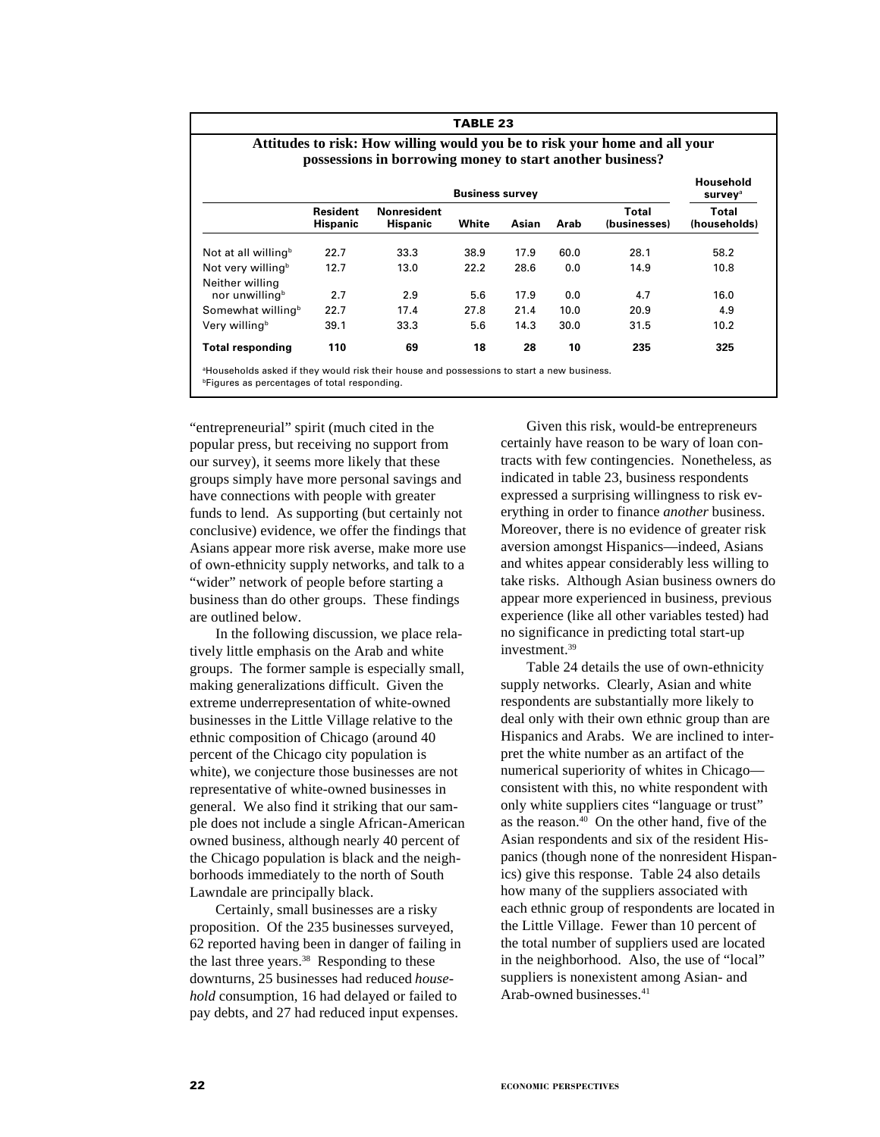| TABLE 23                                                                                                                                |                                    |                                |                        |       |      |                       |                                         |  |  |  |  |  |
|-----------------------------------------------------------------------------------------------------------------------------------------|------------------------------------|--------------------------------|------------------------|-------|------|-----------------------|-----------------------------------------|--|--|--|--|--|
| Attitudes to risk: How willing would you be to risk your home and all your<br>possessions in borrowing money to start another business? |                                    |                                |                        |       |      |                       |                                         |  |  |  |  |  |
|                                                                                                                                         |                                    |                                | <b>Business survey</b> |       |      |                       | Household<br><b>survey</b> <sup>a</sup> |  |  |  |  |  |
|                                                                                                                                         | <b>Resident</b><br><b>Hispanic</b> | Nonresident<br><b>Hispanic</b> | White                  | Asian | Arab | Total<br>(businesses) | Total<br>(households)                   |  |  |  |  |  |
| Not at all willing <sup>b</sup>                                                                                                         | 22.7                               | 33.3                           | 38.9                   | 17.9  | 60.0 | 28.1                  | 58.2                                    |  |  |  |  |  |
| Not very willing <sup>b</sup><br>Neither willing                                                                                        | 12.7                               | 13.0                           | 22.2                   | 28.6  | 0.0  | 14.9                  | 10.8                                    |  |  |  |  |  |
| nor unwilling <sup>b</sup>                                                                                                              | 2.7                                | 2.9                            | 5.6                    | 17.9  | 0.0  | 4.7                   | 16.0                                    |  |  |  |  |  |
| Somewhat willing <sup>b</sup>                                                                                                           | 22.7                               | 17.4                           | 27.8                   | 21.4  | 10.0 | 20.9                  | 4.9                                     |  |  |  |  |  |
| Very willing <sup>b</sup>                                                                                                               | 39.1                               | 33.3                           | 5.6                    | 14.3  | 30.0 | 31.5                  | 10.2                                    |  |  |  |  |  |
| <b>Total responding</b>                                                                                                                 | 110                                | 69                             | 18                     | 28    | 10   | 235                   | 325                                     |  |  |  |  |  |

Households asked if they would risk their house and possessions to start a new business. **bFigures as percentages of total responding.** 

"entrepreneurial" spirit (much cited in the popular press, but receiving no support from our survey), it seems more likely that these groups simply have more personal savings and have connections with people with greater funds to lend. As supporting (but certainly not conclusive) evidence, we offer the findings that Asians appear more risk averse, make more use of own-ethnicity supply networks, and talk to a "wider" network of people before starting a business than do other groups. These findings are outlined below.

In the following discussion, we place relatively little emphasis on the Arab and white groups. The former sample is especially small, making generalizations difficult. Given the extreme underrepresentation of white-owned businesses in the Little Village relative to the ethnic composition of Chicago (around 40 percent of the Chicago city population is white), we conjecture those businesses are not representative of white-owned businesses in general. We also find it striking that our sample does not include a single African-American owned business, although nearly 40 percent of the Chicago population is black and the neighborhoods immediately to the north of South Lawndale are principally black.

Certainly, small businesses are a risky proposition. Of the 235 businesses surveyed, 62 reported having been in danger of failing in the last three years.38 Responding to these downturns, 25 businesses had reduced *household* consumption, 16 had delayed or failed to pay debts, and 27 had reduced input expenses.

Given this risk, would-be entrepreneurs certainly have reason to be wary of loan contracts with few contingencies. Nonetheless, as indicated in table 23, business respondents expressed a surprising willingness to risk everything in order to finance *another* business. Moreover, there is no evidence of greater risk aversion amongst Hispanics—indeed, Asians and whites appear considerably less willing to take risks. Although Asian business owners do appear more experienced in business, previous experience (like all other variables tested) had no significance in predicting total start-up investment.39

Table 24 details the use of own-ethnicity supply networks. Clearly, Asian and white respondents are substantially more likely to deal only with their own ethnic group than are Hispanics and Arabs. We are inclined to interpret the white number as an artifact of the numerical superiority of whites in Chicago consistent with this, no white respondent with only white suppliers cites "language or trust" as the reason.40 On the other hand, five of the Asian respondents and six of the resident Hispanics (though none of the nonresident Hispanics) give this response. Table 24 also details how many of the suppliers associated with each ethnic group of respondents are located in the Little Village. Fewer than 10 percent of the total number of suppliers used are located in the neighborhood. Also, the use of "local" suppliers is nonexistent among Asian- and Arab-owned businesses.<sup>41</sup>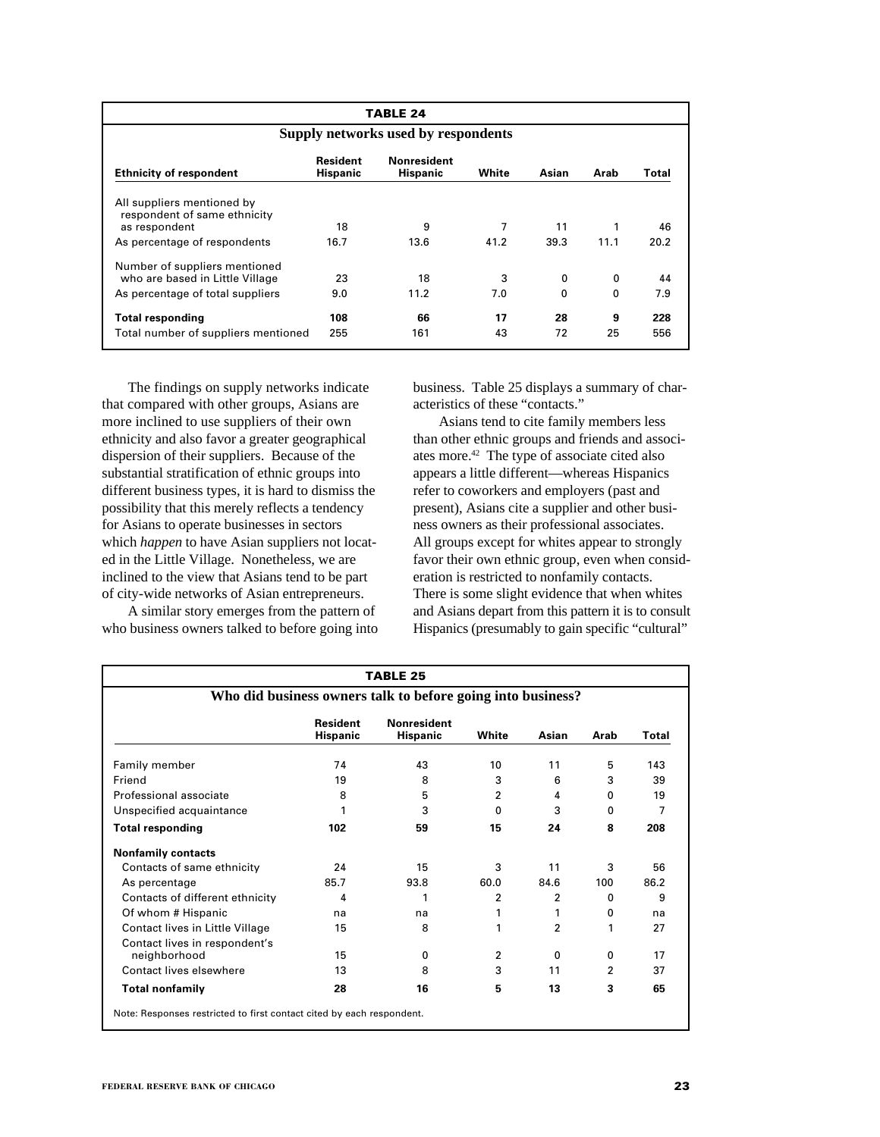|                                                                             | <b>TABLE 24</b>             |                                       |       |          |      |       |  |  |  |  |  |  |
|-----------------------------------------------------------------------------|-----------------------------|---------------------------------------|-------|----------|------|-------|--|--|--|--|--|--|
| Supply networks used by respondents                                         |                             |                                       |       |          |      |       |  |  |  |  |  |  |
| <b>Ethnicity of respondent</b>                                              | Resident<br><b>Hispanic</b> | <b>Nonresident</b><br><b>Hispanic</b> | White | Asian    | Arab | Total |  |  |  |  |  |  |
| All suppliers mentioned by<br>respondent of same ethnicity<br>as respondent | 18                          | 9                                     | 7     | 11       | 1    | 46    |  |  |  |  |  |  |
| As percentage of respondents                                                | 16.7                        | 13.6                                  | 41.2  | 39.3     | 11.1 | 20.2  |  |  |  |  |  |  |
| Number of suppliers mentioned<br>who are based in Little Village            | 23                          | 18                                    | 3     | 0        | 0    | 44    |  |  |  |  |  |  |
| As percentage of total suppliers                                            | 9.0                         | 11.2                                  | 7.0   | $\Omega$ | 0    | 7.9   |  |  |  |  |  |  |
| Total responding                                                            | 108                         | 66                                    | 17    | 28       | 9    | 228   |  |  |  |  |  |  |
| Total number of suppliers mentioned                                         | 255                         | 161                                   | 43    | 72       | 25   | 556   |  |  |  |  |  |  |

The findings on supply networks indicate that compared with other groups, Asians are more inclined to use suppliers of their own ethnicity and also favor a greater geographical dispersion of their suppliers. Because of the substantial stratification of ethnic groups into different business types, it is hard to dismiss the possibility that this merely reflects a tendency for Asians to operate businesses in sectors which *happen* to have Asian suppliers not located in the Little Village. Nonetheless, we are inclined to the view that Asians tend to be part of city-wide networks of Asian entrepreneurs.

A similar story emerges from the pattern of who business owners talked to before going into business. Table 25 displays a summary of characteristics of these "contacts."

Asians tend to cite family members less than other ethnic groups and friends and associates more.42 The type of associate cited also appears a little different—whereas Hispanics refer to coworkers and employers (past and present), Asians cite a supplier and other business owners as their professional associates. All groups except for whites appear to strongly favor their own ethnic group, even when consideration is restricted to nonfamily contacts. There is some slight evidence that when whites and Asians depart from this pattern it is to consult Hispanics (presumably to gain specific "cultural"

| TABLE 25<br>Who did business owners talk to before going into business? |      |      |                |                |          |      |
|-------------------------------------------------------------------------|------|------|----------------|----------------|----------|------|
|                                                                         |      |      |                |                |          |      |
| Family member                                                           | 74   | 43   | 10             | 11             | 5        | 143  |
| Friend                                                                  | 19   | 8    | 3              | 6              | 3        | 39   |
| Professional associate                                                  | 8    | 5    | $\overline{2}$ | 4              | $\Omega$ | 19   |
| Unspecified acquaintance                                                |      | 3    | 0              | 3              | 0        | 7    |
| <b>Total responding</b>                                                 | 102  | 59   | 15             | 24             | 8        | 208  |
| <b>Nonfamily contacts</b>                                               |      |      |                |                |          |      |
| Contacts of same ethnicity                                              | 24   | 15   | 3              | 11             | 3        | 56   |
| As percentage                                                           | 85.7 | 93.8 | 60.0           | 84.6           | 100      | 86.2 |
| Contacts of different ethnicity                                         | 4    | 1    | 2              | 2              | $\Omega$ | 9    |
| Of whom # Hispanic                                                      | na   | na   |                | 1              | 0        | na   |
| Contact lives in Little Village                                         | 15   | 8    | 1              | $\overline{2}$ | 1        | 27   |
| Contact lives in respondent's                                           |      |      |                |                |          |      |
| neighborhood                                                            | 15   | 0    | $\overline{2}$ | 0              | 0        | 17   |
| Contact lives elsewhere                                                 | 13   | 8    | 3              | 11             | 2        | 37   |
| <b>Total nonfamily</b>                                                  | 28   | 16   | 5              | 13             | 3        | 65   |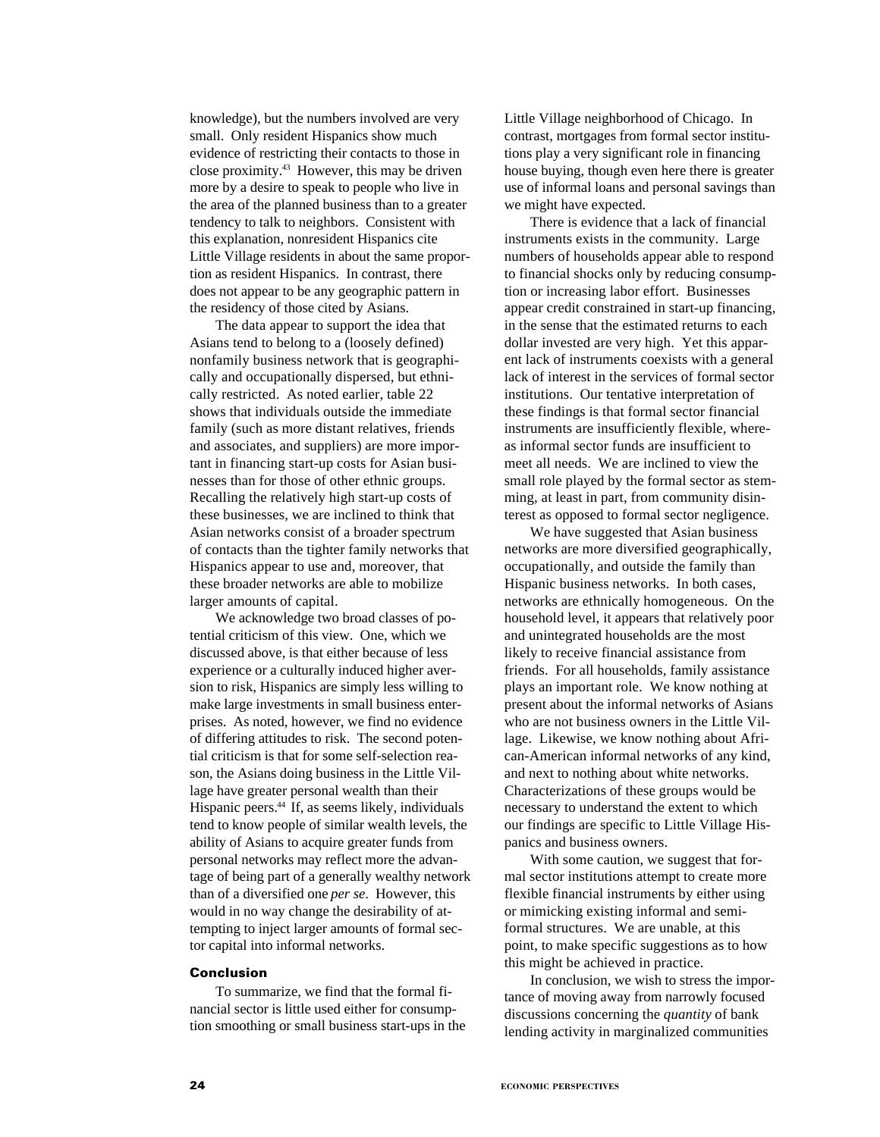knowledge), but the numbers involved are very small. Only resident Hispanics show much evidence of restricting their contacts to those in close proximity.43 However, this may be driven more by a desire to speak to people who live in the area of the planned business than to a greater tendency to talk to neighbors. Consistent with this explanation, nonresident Hispanics cite Little Village residents in about the same proportion as resident Hispanics. In contrast, there does not appear to be any geographic pattern in the residency of those cited by Asians.

The data appear to support the idea that Asians tend to belong to a (loosely defined) nonfamily business network that is geographically and occupationally dispersed, but ethnically restricted. As noted earlier, table 22 shows that individuals outside the immediate family (such as more distant relatives, friends and associates, and suppliers) are more important in financing start-up costs for Asian businesses than for those of other ethnic groups. Recalling the relatively high start-up costs of these businesses, we are inclined to think that Asian networks consist of a broader spectrum of contacts than the tighter family networks that Hispanics appear to use and, moreover, that these broader networks are able to mobilize larger amounts of capital.

We acknowledge two broad classes of potential criticism of this view. One, which we discussed above, is that either because of less experience or a culturally induced higher aversion to risk, Hispanics are simply less willing to make large investments in small business enterprises. As noted, however, we find no evidence of differing attitudes to risk. The second potential criticism is that for some self-selection reason, the Asians doing business in the Little Village have greater personal wealth than their Hispanic peers.<sup>44</sup> If, as seems likely, individuals tend to know people of similar wealth levels, the ability of Asians to acquire greater funds from personal networks may reflect more the advantage of being part of a generally wealthy network than of a diversified one *per se*. However, this would in no way change the desirability of attempting to inject larger amounts of formal sector capital into informal networks.

#### **Conclusion**

To summarize, we find that the formal financial sector is little used either for consumption smoothing or small business start-ups in the Little Village neighborhood of Chicago. In contrast, mortgages from formal sector institutions play a very significant role in financing house buying, though even here there is greater use of informal loans and personal savings than we might have expected.

There is evidence that a lack of financial instruments exists in the community. Large numbers of households appear able to respond to financial shocks only by reducing consumption or increasing labor effort. Businesses appear credit constrained in start-up financing, in the sense that the estimated returns to each dollar invested are very high. Yet this apparent lack of instruments coexists with a general lack of interest in the services of formal sector institutions. Our tentative interpretation of these findings is that formal sector financial instruments are insufficiently flexible, whereas informal sector funds are insufficient to meet all needs. We are inclined to view the small role played by the formal sector as stemming, at least in part, from community disinterest as opposed to formal sector negligence.

We have suggested that Asian business networks are more diversified geographically, occupationally, and outside the family than Hispanic business networks. In both cases, networks are ethnically homogeneous. On the household level, it appears that relatively poor and unintegrated households are the most likely to receive financial assistance from friends. For all households, family assistance plays an important role. We know nothing at present about the informal networks of Asians who are not business owners in the Little Village. Likewise, we know nothing about African-American informal networks of any kind, and next to nothing about white networks. Characterizations of these groups would be necessary to understand the extent to which our findings are specific to Little Village Hispanics and business owners.

With some caution, we suggest that formal sector institutions attempt to create more flexible financial instruments by either using or mimicking existing informal and semiformal structures. We are unable, at this point, to make specific suggestions as to how this might be achieved in practice.

In conclusion, we wish to stress the importance of moving away from narrowly focused discussions concerning the *quantity* of bank lending activity in marginalized communities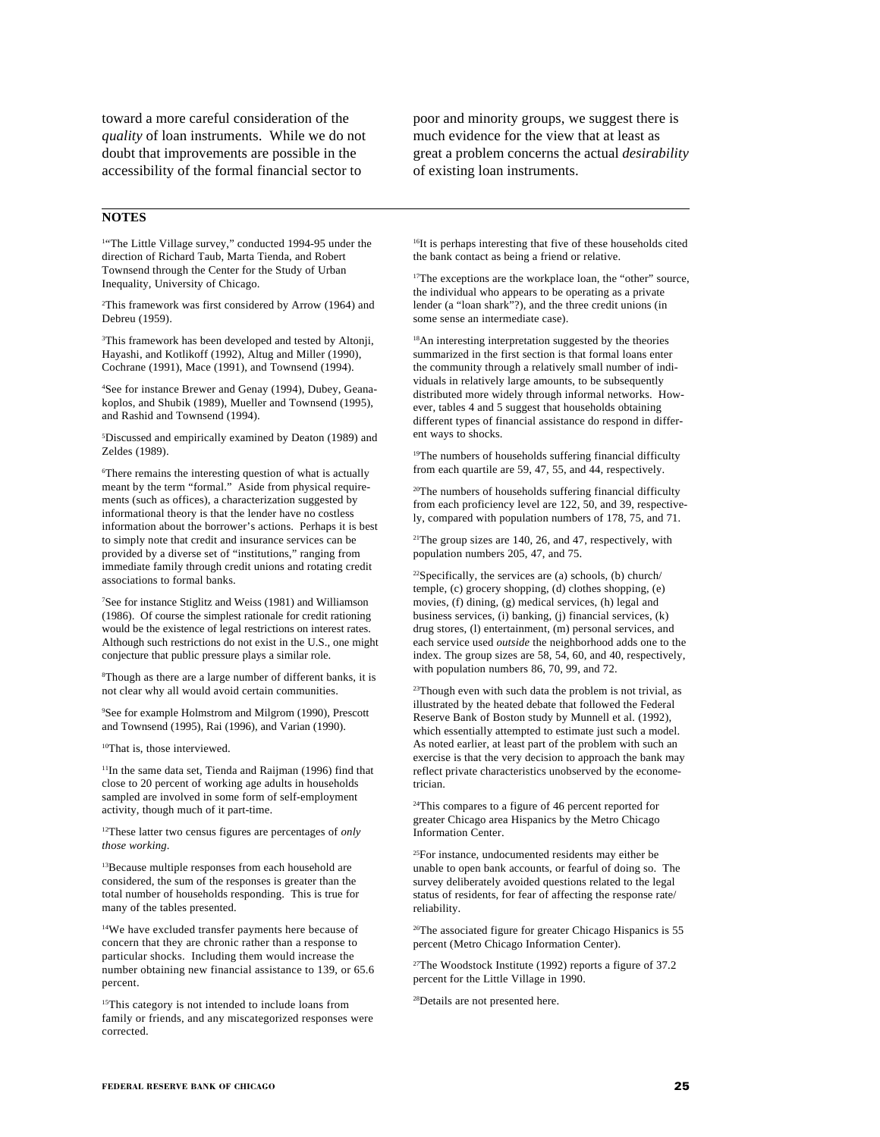toward a more careful consideration of the *quality* of loan instruments. While we do not doubt that improvements are possible in the accessibility of the formal financial sector to

**NOTES**

<sup>1</sup>"The Little Village survey," conducted 1994-95 under the direction of Richard Taub, Marta Tienda, and Robert Townsend through the Center for the Study of Urban Inequality, University of Chicago.

2 This framework was first considered by Arrow (1964) and Debreu (1959).

<sup>3</sup>This framework has been developed and tested by Altonji, Hayashi, and Kotlikoff (1992), Altug and Miller (1990), Cochrane (1991), Mace (1991), and Townsend (1994).

4 See for instance Brewer and Genay (1994), Dubey, Geanakoplos, and Shubik (1989), Mueller and Townsend (1995), and Rashid and Townsend (1994).

5 Discussed and empirically examined by Deaton (1989) and Zeldes (1989).

6 There remains the interesting question of what is actually meant by the term "formal." Aside from physical requirements (such as offices), a characterization suggested by informational theory is that the lender have no costless information about the borrower's actions. Perhaps it is best to simply note that credit and insurance services can be provided by a diverse set of "institutions," ranging from immediate family through credit unions and rotating credit associations to formal banks.

7 See for instance Stiglitz and Weiss (1981) and Williamson (1986). Of course the simplest rationale for credit rationing would be the existence of legal restrictions on interest rates. Although such restrictions do not exist in the U.S., one might conjecture that public pressure plays a similar role.

8 Though as there are a large number of different banks, it is not clear why all would avoid certain communities.

9 See for example Holmstrom and Milgrom (1990), Prescott and Townsend (1995), Rai (1996), and Varian (1990).

10That is, those interviewed.

<sup>11</sup>In the same data set, Tienda and Raijman (1996) find that close to 20 percent of working age adults in households sampled are involved in some form of self-employment activity, though much of it part-time.

12These latter two census figures are percentages of *only those working*.

<sup>13</sup>Because multiple responses from each household are considered, the sum of the responses is greater than the total number of households responding. This is true for many of the tables presented.

14We have excluded transfer payments here because of concern that they are chronic rather than a response to particular shocks. Including them would increase the number obtaining new financial assistance to 139, or 65.6 percent.

15This category is not intended to include loans from family or friends, and any miscategorized responses were corrected.

poor and minority groups, we suggest there is much evidence for the view that at least as great a problem concerns the actual *desirability* of existing loan instruments.

<sup>16</sup>It is perhaps interesting that five of these households cited the bank contact as being a friend or relative.

<sup>17</sup>The exceptions are the workplace loan, the "other" source, the individual who appears to be operating as a private lender (a "loan shark"?), and the three credit unions (in some sense an intermediate case).

18An interesting interpretation suggested by the theories summarized in the first section is that formal loans enter the community through a relatively small number of individuals in relatively large amounts, to be subsequently distributed more widely through informal networks. However, tables 4 and 5 suggest that households obtaining different types of financial assistance do respond in different ways to shocks.

<sup>19</sup>The numbers of households suffering financial difficulty from each quartile are 59, 47, 55, and 44, respectively.

20The numbers of households suffering financial difficulty from each proficiency level are 122, 50, and 39, respectively, compared with population numbers of 178, 75, and 71.

21The group sizes are 140, 26, and 47, respectively, with population numbers 205, 47, and 75.

22Specifically, the services are (a) schools, (b) church/ temple, (c) grocery shopping, (d) clothes shopping, (e) movies, (f) dining, (g) medical services, (h) legal and business services, (i) banking, (j) financial services, (k) drug stores, (l) entertainment, (m) personal services, and each service used *outside* the neighborhood adds one to the index. The group sizes are 58, 54, 60, and 40, respectively, with population numbers 86, 70, 99, and 72.

<sup>23</sup>Though even with such data the problem is not trivial, as illustrated by the heated debate that followed the Federal Reserve Bank of Boston study by Munnell et al. (1992), which essentially attempted to estimate just such a model. As noted earlier, at least part of the problem with such an exercise is that the very decision to approach the bank may reflect private characteristics unobserved by the econometrician.

24This compares to a figure of 46 percent reported for greater Chicago area Hispanics by the Metro Chicago Information Center.

25For instance, undocumented residents may either be unable to open bank accounts, or fearful of doing so. The survey deliberately avoided questions related to the legal status of residents, for fear of affecting the response rate/ reliability.

26The associated figure for greater Chicago Hispanics is 55 percent (Metro Chicago Information Center).

27The Woodstock Institute (1992) reports a figure of 37.2 percent for the Little Village in 1990.

28Details are not presented here.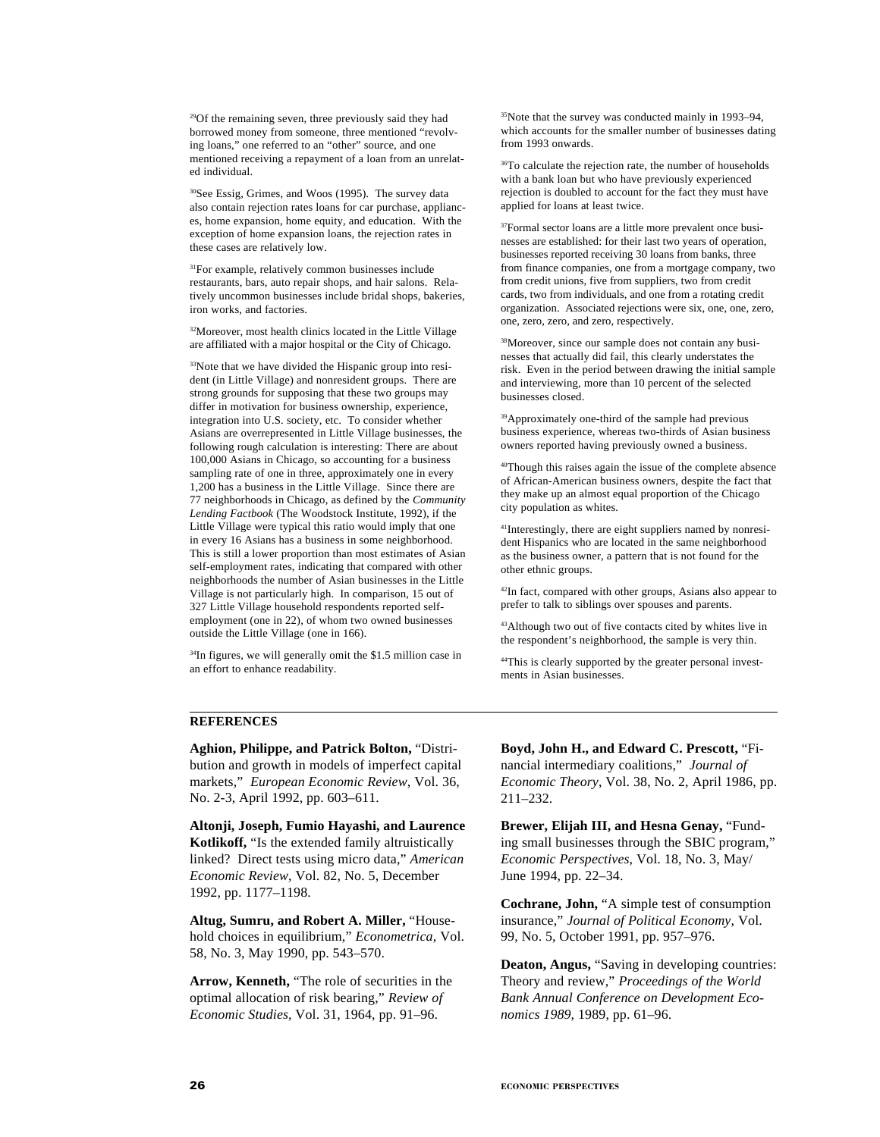29Of the remaining seven, three previously said they had borrowed money from someone, three mentioned "revolving loans," one referred to an "other" source, and one mentioned receiving a repayment of a loan from an unrelated individual.

30See Essig, Grimes, and Woos (1995). The survey data also contain rejection rates loans for car purchase, appliances, home expansion, home equity, and education. With the exception of home expansion loans, the rejection rates in these cases are relatively low.

31For example, relatively common businesses include restaurants, bars, auto repair shops, and hair salons. Relatively uncommon businesses include bridal shops, bakeries, iron works, and factories.

32Moreover, most health clinics located in the Little Village are affiliated with a major hospital or the City of Chicago.

33Note that we have divided the Hispanic group into resident (in Little Village) and nonresident groups. There are strong grounds for supposing that these two groups may differ in motivation for business ownership, experience, integration into U.S. society, etc. To consider whether Asians are overrepresented in Little Village businesses, the following rough calculation is interesting: There are about 100,000 Asians in Chicago, so accounting for a business sampling rate of one in three, approximately one in every 1,200 has a business in the Little Village. Since there are 77 neighborhoods in Chicago, as defined by the *Community Lending Factbook* (The Woodstock Institute, 1992), if the Little Village were typical this ratio would imply that one in every 16 Asians has a business in some neighborhood. This is still a lower proportion than most estimates of Asian self-employment rates, indicating that compared with other neighborhoods the number of Asian businesses in the Little Village is not particularly high. In comparison, 15 out of 327 Little Village household respondents reported selfemployment (one in 22), of whom two owned businesses outside the Little Village (one in 166).

<sup>34</sup>In figures, we will generally omit the \$1.5 million case in an effort to enhance readability.

35Note that the survey was conducted mainly in 1993–94, which accounts for the smaller number of businesses dating from 1993 onwards.

<sup>36</sup>To calculate the rejection rate, the number of households with a bank loan but who have previously experienced rejection is doubled to account for the fact they must have applied for loans at least twice.

<sup>37</sup>Formal sector loans are a little more prevalent once businesses are established: for their last two years of operation, businesses reported receiving 30 loans from banks, three from finance companies, one from a mortgage company, two from credit unions, five from suppliers, two from credit cards, two from individuals, and one from a rotating credit organization. Associated rejections were six, one, one, zero, one, zero, zero, and zero, respectively.

38Moreover, since our sample does not contain any businesses that actually did fail, this clearly understates the risk. Even in the period between drawing the initial sample and interviewing, more than 10 percent of the selected businesses closed.

39Approximately one-third of the sample had previous business experience, whereas two-thirds of Asian business owners reported having previously owned a business.

40Though this raises again the issue of the complete absence of African-American business owners, despite the fact that they make up an almost equal proportion of the Chicago city population as whites.

41Interestingly, there are eight suppliers named by nonresident Hispanics who are located in the same neighborhood as the business owner, a pattern that is not found for the other ethnic groups.

42In fact, compared with other groups, Asians also appear to prefer to talk to siblings over spouses and parents.

43Although two out of five contacts cited by whites live in the respondent's neighborhood, the sample is very thin.

44This is clearly supported by the greater personal investments in Asian businesses.

# **REFERENCES**

**Aghion, Philippe, and Patrick Bolton,** "Distribution and growth in models of imperfect capital markets," *European Economic Review*, Vol. 36, No. 2-3, April 1992, pp. 603–611.

**Altonji, Joseph, Fumio Hayashi, and Laurence Kotlikoff,** "Is the extended family altruistically linked? Direct tests using micro data," *American Economic Review*, Vol. 82, No. 5, December 1992, pp. 1177–1198.

**Altug, Sumru, and Robert A. Miller,** "Household choices in equilibrium," *Econometrica*, Vol. 58, No. 3, May 1990, pp. 543–570.

**Arrow, Kenneth,** "The role of securities in the optimal allocation of risk bearing," *Review of Economic Studies*, Vol. 31, 1964, pp. 91–96.

**Boyd, John H., and Edward C. Prescott,** "Financial intermediary coalitions," *Journal of Economic Theory*, Vol. 38, No. 2, April 1986, pp. 211–232.

**Brewer, Elijah III, and Hesna Genay,** "Funding small businesses through the SBIC program," *Economic Perspectives*, Vol. 18, No. 3, May/ June 1994, pp. 22–34.

**Cochrane, John,** "A simple test of consumption insurance," *Journal of Political Economy*, Vol. 99, No. 5, October 1991, pp. 957–976.

**Deaton, Angus,** "Saving in developing countries: Theory and review," *Proceedings of the World Bank Annual Conference on Development Economics 1989*, 1989, pp. 61–96.